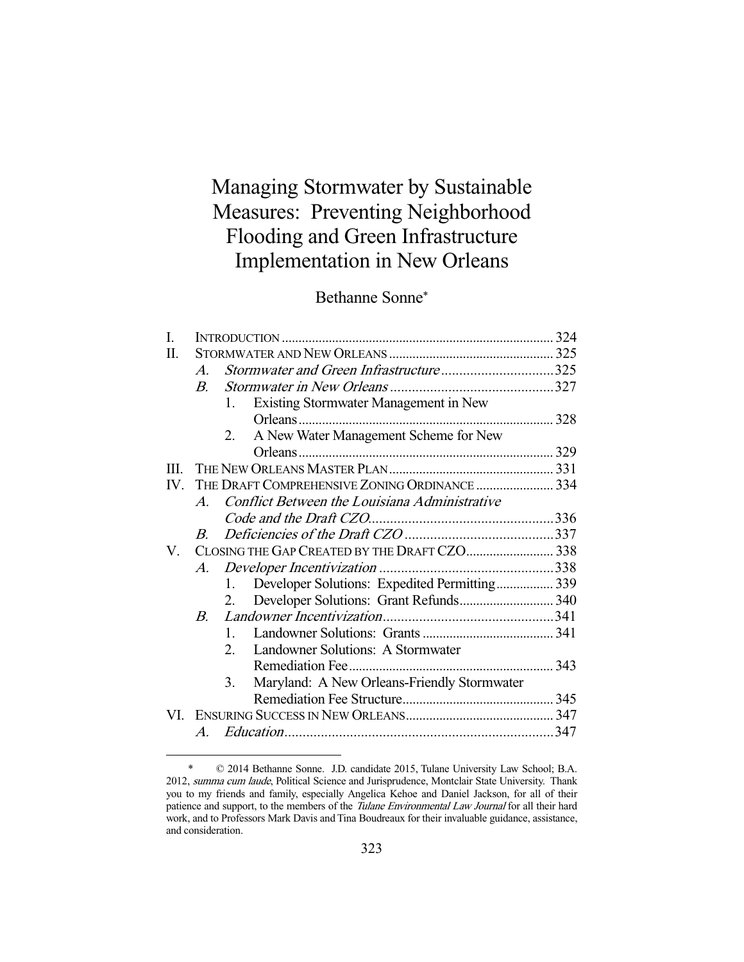# Managing Stormwater by Sustainable Measures: Preventing Neighborhood Flooding and Green Infrastructure Implementation in New Orleans

Bethanne Sonne\*

| I.   |                       |                                                     |  |
|------|-----------------------|-----------------------------------------------------|--|
| П.   |                       |                                                     |  |
|      | $\mathcal{A}_{\cdot}$ | Stormwater and Green Infrastructure325              |  |
|      | $B_{\cdot}$           |                                                     |  |
|      |                       | Existing Stormwater Management in New<br>1.         |  |
|      |                       |                                                     |  |
|      |                       | A New Water Management Scheme for New<br>2.         |  |
|      |                       |                                                     |  |
| Ш    |                       |                                                     |  |
| IV — |                       | THE DRAFT COMPREHENSIVE ZONING ORDINANCE  334       |  |
|      | $\bm{A}$              | Conflict Between the Louisiana Administrative       |  |
|      |                       |                                                     |  |
|      | $B_{-}$               |                                                     |  |
| V.   |                       | CLOSING THE GAP CREATED BY THE DRAFT CZO 338        |  |
|      | A.                    |                                                     |  |
|      |                       | Developer Solutions: Expedited Permitting 339<br>1. |  |
|      |                       | 2.                                                  |  |
|      | $B_{-}$               |                                                     |  |
|      |                       | $\mathbf{1}$                                        |  |
|      |                       | Landowner Solutions: A Stormwater<br>$2^{\circ}$    |  |
|      |                       |                                                     |  |
|      |                       | Maryland: A New Orleans-Friendly Stormwater<br>3.   |  |
|      |                       |                                                     |  |
| VI.  |                       |                                                     |  |
|      | A.                    |                                                     |  |
|      |                       |                                                     |  |

 <sup>\* © 2014</sup> Bethanne Sonne. J.D. candidate 2015, Tulane University Law School; B.A. 2012, summa cum laude, Political Science and Jurisprudence, Montclair State University. Thank you to my friends and family, especially Angelica Kehoe and Daniel Jackson, for all of their patience and support, to the members of the Tulane Environmental Law Journal for all their hard work, and to Professors Mark Davis and Tina Boudreaux for their invaluable guidance, assistance, and consideration.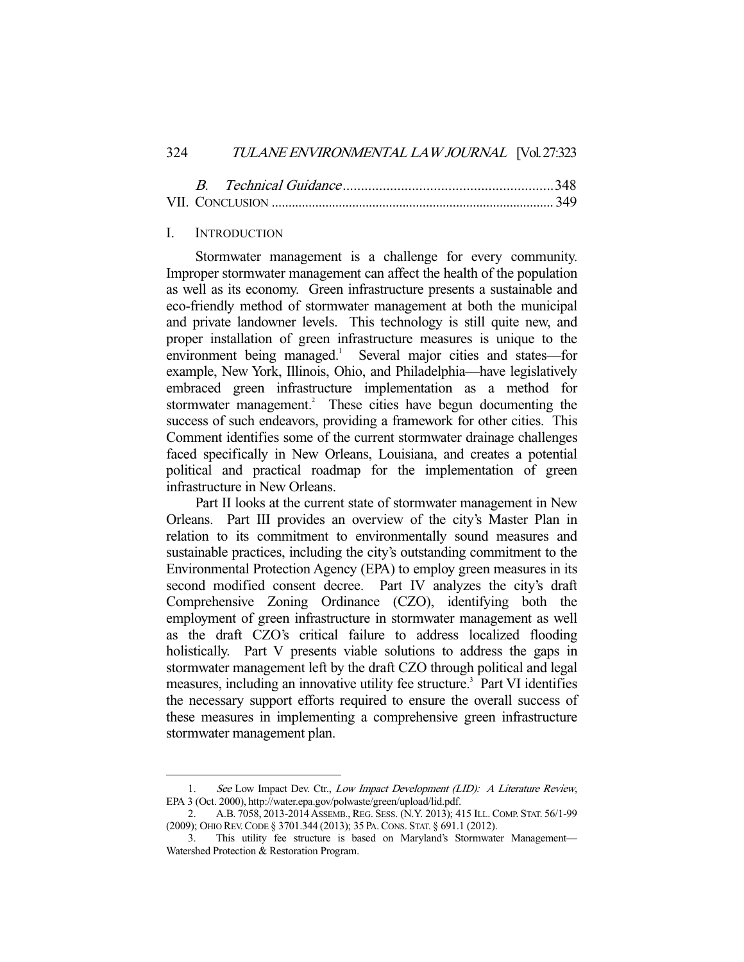## 324 TULANE ENVIRONMENTAL LAW JOURNAL [Vol. 27:323

# I. INTRODUCTION

-

 Stormwater management is a challenge for every community. Improper stormwater management can affect the health of the population as well as its economy. Green infrastructure presents a sustainable and eco-friendly method of stormwater management at both the municipal and private landowner levels. This technology is still quite new, and proper installation of green infrastructure measures is unique to the environment being managed.<sup>1</sup> Several major cities and states—for example, New York, Illinois, Ohio, and Philadelphia—have legislatively embraced green infrastructure implementation as a method for stormwater management.<sup>2</sup> These cities have begun documenting the success of such endeavors, providing a framework for other cities. This Comment identifies some of the current stormwater drainage challenges faced specifically in New Orleans, Louisiana, and creates a potential political and practical roadmap for the implementation of green infrastructure in New Orleans.

 Part II looks at the current state of stormwater management in New Orleans. Part III provides an overview of the city's Master Plan in relation to its commitment to environmentally sound measures and sustainable practices, including the city's outstanding commitment to the Environmental Protection Agency (EPA) to employ green measures in its second modified consent decree. Part IV analyzes the city's draft Comprehensive Zoning Ordinance (CZO), identifying both the employment of green infrastructure in stormwater management as well as the draft CZO's critical failure to address localized flooding holistically. Part V presents viable solutions to address the gaps in stormwater management left by the draft CZO through political and legal measures, including an innovative utility fee structure.<sup>3</sup> Part VI identifies the necessary support efforts required to ensure the overall success of these measures in implementing a comprehensive green infrastructure stormwater management plan.

<sup>1.</sup> See Low Impact Dev. Ctr., Low Impact Development (LID): A Literature Review, EPA 3 (Oct. 2000), http://water.epa.gov/polwaste/green/upload/lid.pdf.

 <sup>2.</sup> A.B. 7058, 2013-2014ASSEMB., REG. SESS. (N.Y. 2013); 415 ILL. COMP. STAT. 56/1-99 (2009); OHIO REV.CODE § 3701.344 (2013); 35 PA.CONS. STAT. § 691.1 (2012).

 <sup>3.</sup> This utility fee structure is based on Maryland's Stormwater Management— Watershed Protection & Restoration Program.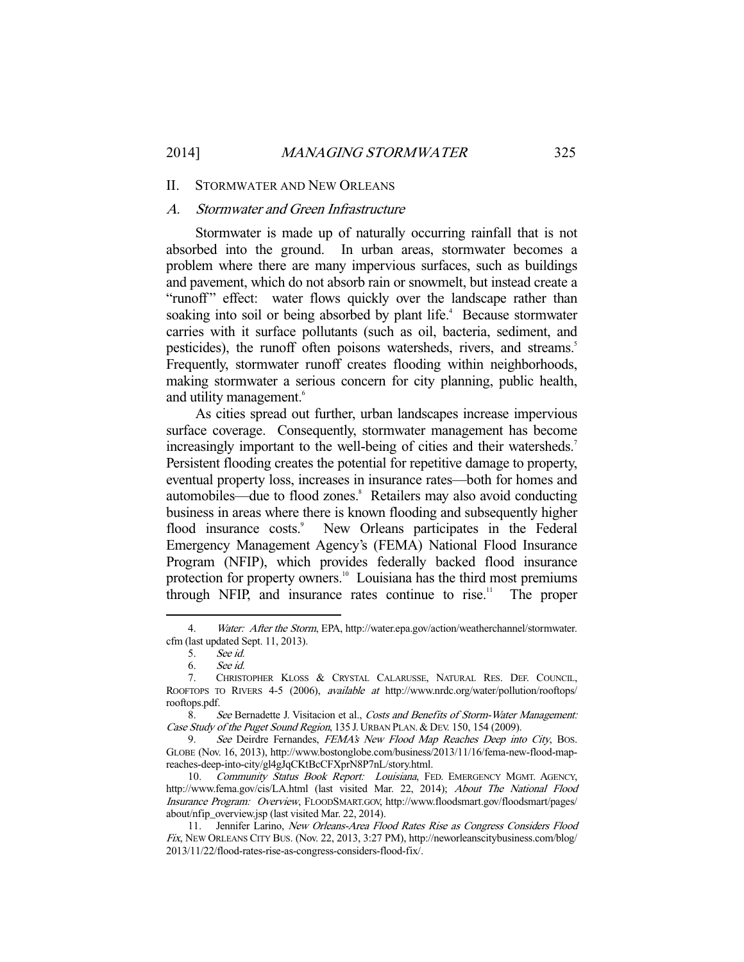#### II. STORMWATER AND NEW ORLEANS

# A. Stormwater and Green Infrastructure

 Stormwater is made up of naturally occurring rainfall that is not absorbed into the ground. In urban areas, stormwater becomes a problem where there are many impervious surfaces, such as buildings and pavement, which do not absorb rain or snowmelt, but instead create a "runoff" effect: water flows quickly over the landscape rather than soaking into soil or being absorbed by plant life.<sup>4</sup> Because stormwater carries with it surface pollutants (such as oil, bacteria, sediment, and pesticides), the runoff often poisons watersheds, rivers, and streams.<sup>5</sup> Frequently, stormwater runoff creates flooding within neighborhoods, making stormwater a serious concern for city planning, public health, and utility management.<sup>6</sup>

 As cities spread out further, urban landscapes increase impervious surface coverage. Consequently, stormwater management has become increasingly important to the well-being of cities and their watersheds.<sup>7</sup> Persistent flooding creates the potential for repetitive damage to property, eventual property loss, increases in insurance rates—both for homes and automobiles—due to flood zones.<sup>8</sup> Retailers may also avoid conducting business in areas where there is known flooding and subsequently higher flood insurance costs.<sup>9</sup> New Orleans participates in the Federal Emergency Management Agency's (FEMA) National Flood Insurance Program (NFIP), which provides federally backed flood insurance protection for property owners.<sup>10</sup> Louisiana has the third most premiums through NFIP, and insurance rates continue to rise.<sup>11</sup> The proper

<sup>4.</sup> Water: After the Storm, EPA, http://water.epa.gov/action/weatherchannel/stormwater. cfm (last updated Sept. 11, 2013).

 <sup>5.</sup> See id.

 <sup>6.</sup> See id.

 <sup>7.</sup> CHRISTOPHER KLOSS & CRYSTAL CALARUSSE, NATURAL RES. DEF. COUNCIL, ROOFTOPS TO RIVERS 4-5 (2006), available at http://www.nrdc.org/water/pollution/rooftops/ rooftops.pdf.

 <sup>8.</sup> See Bernadette J. Visitacion et al., Costs and Benefits of Storm-Water Management: Case Study of the Puget Sound Region, 135 J. URBAN PLAN. & DEV. 150, 154 (2009).

<sup>9.</sup> See Deirdre Fernandes, FEMA's New Flood Map Reaches Deep into City, Bos. GLOBE (Nov. 16, 2013), http://www.bostonglobe.com/business/2013/11/16/fema-new-flood-mapreaches-deep-into-city/gl4gJqCKtBcCFXprN8P7nL/story.html.

<sup>10.</sup> Community Status Book Report: Louisiana, FED. EMERGENCY MGMT. AGENCY, http://www.fema.gov/cis/LA.html (last visited Mar. 22, 2014); About The National Flood Insurance Program: Overview, FLOODSMART.GOV, http://www.floodsmart.gov/floodsmart/pages/ about/nfip\_overview.jsp (last visited Mar. 22, 2014).

 <sup>11.</sup> Jennifer Larino, New Orleans-Area Flood Rates Rise as Congress Considers Flood Fix, NEW ORLEANS CITY BUS. (Nov. 22, 2013, 3:27 PM), http://neworleanscitybusiness.com/blog/ 2013/11/22/flood-rates-rise-as-congress-considers-flood-fix/.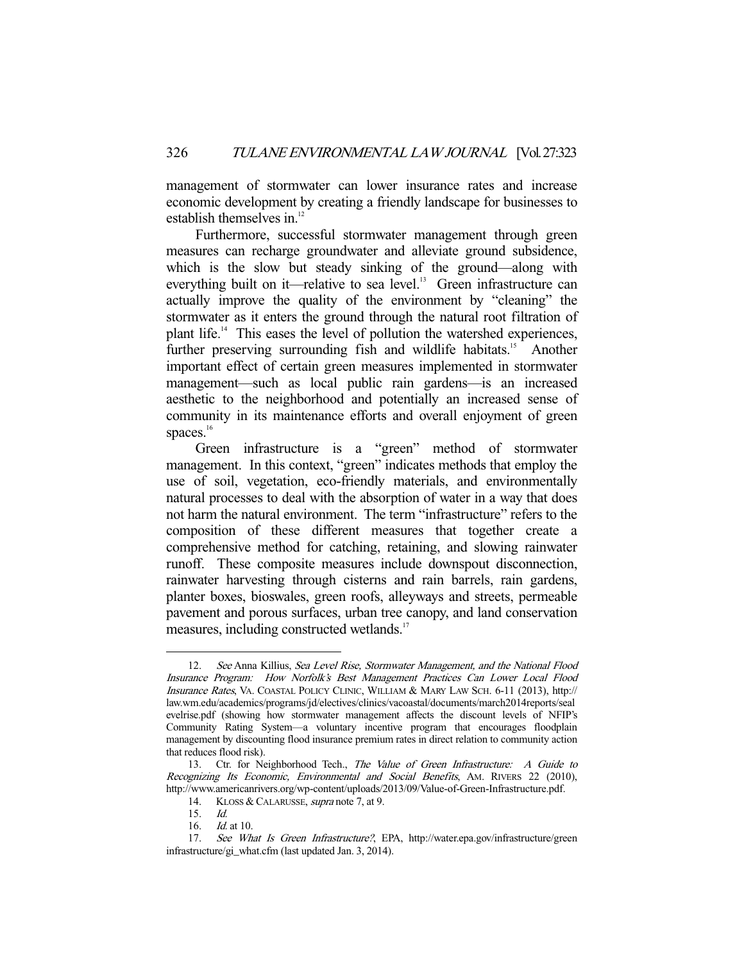management of stormwater can lower insurance rates and increase economic development by creating a friendly landscape for businesses to establish themselves in. $12$ 

 Furthermore, successful stormwater management through green measures can recharge groundwater and alleviate ground subsidence, which is the slow but steady sinking of the ground—along with everything built on it—relative to sea level.<sup>13</sup> Green infrastructure can actually improve the quality of the environment by "cleaning" the stormwater as it enters the ground through the natural root filtration of plant life.14 This eases the level of pollution the watershed experiences, further preserving surrounding fish and wildlife habitats.<sup>15</sup> Another important effect of certain green measures implemented in stormwater management—such as local public rain gardens—is an increased aesthetic to the neighborhood and potentially an increased sense of community in its maintenance efforts and overall enjoyment of green spaces. $16$ 

 Green infrastructure is a "green" method of stormwater management. In this context, "green" indicates methods that employ the use of soil, vegetation, eco-friendly materials, and environmentally natural processes to deal with the absorption of water in a way that does not harm the natural environment. The term "infrastructure" refers to the composition of these different measures that together create a comprehensive method for catching, retaining, and slowing rainwater runoff. These composite measures include downspout disconnection, rainwater harvesting through cisterns and rain barrels, rain gardens, planter boxes, bioswales, green roofs, alleyways and streets, permeable pavement and porous surfaces, urban tree canopy, and land conservation measures, including constructed wetlands.<sup>17</sup>

 <sup>12.</sup> See Anna Killius, Sea Level Rise, Stormwater Management, and the National Flood Insurance Program: How Norfolk's Best Management Practices Can Lower Local Flood Insurance Rates, VA. COASTAL POLICY CLINIC, WILLIAM & MARY LAW SCH. 6-11 (2013), http:// law.wm.edu/academics/programs/jd/electives/clinics/vacoastal/documents/march2014reports/seal evelrise.pdf (showing how stormwater management affects the discount levels of NFIP's Community Rating System—a voluntary incentive program that encourages floodplain management by discounting flood insurance premium rates in direct relation to community action that reduces flood risk).

<sup>13.</sup> Ctr. for Neighborhood Tech., The Value of Green Infrastructure: A Guide to Recognizing Its Economic, Environmental and Social Benefits, AM. RIVERS 22 (2010), http://www.americanrivers.org/wp-content/uploads/2013/09/Value-of-Green-Infrastructure.pdf.

<sup>14.</sup> KLOSS & CALARUSSE, *supra* note 7, at 9.

 <sup>15.</sup> Id.

 <sup>16.</sup> Id. at 10.

 <sup>17.</sup> See What Is Green Infrastructure?, EPA, http://water.epa.gov/infrastructure/green infrastructure/gi\_what.cfm (last updated Jan. 3, 2014).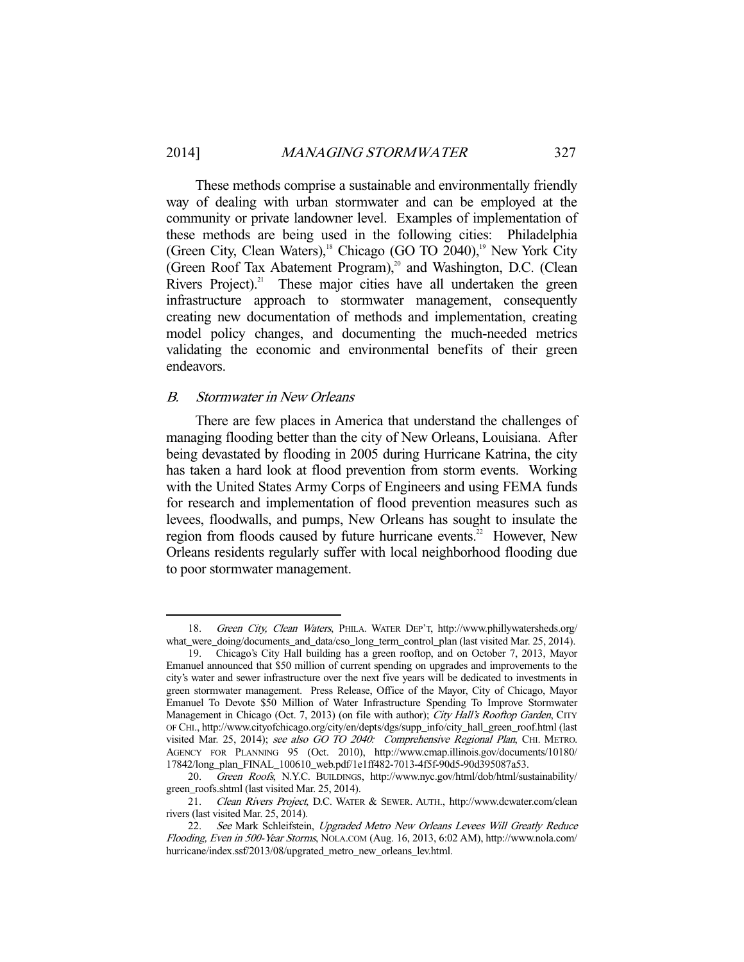These methods comprise a sustainable and environmentally friendly way of dealing with urban stormwater and can be employed at the community or private landowner level. Examples of implementation of these methods are being used in the following cities: Philadelphia (Green City, Clean Waters),<sup>18</sup> Chicago (GO TO 2040),<sup>19</sup> New York City (Green Roof Tax Abatement Program), $^{20}$  and Washington, D.C. (Clean Rivers Project).<sup>21</sup> These major cities have all undertaken the green infrastructure approach to stormwater management, consequently creating new documentation of methods and implementation, creating model policy changes, and documenting the much-needed metrics validating the economic and environmental benefits of their green endeavors.

## B. Stormwater in New Orleans

-

 There are few places in America that understand the challenges of managing flooding better than the city of New Orleans, Louisiana. After being devastated by flooding in 2005 during Hurricane Katrina, the city has taken a hard look at flood prevention from storm events. Working with the United States Army Corps of Engineers and using FEMA funds for research and implementation of flood prevention measures such as levees, floodwalls, and pumps, New Orleans has sought to insulate the region from floods caused by future hurricane events.<sup>22</sup> However, New Orleans residents regularly suffer with local neighborhood flooding due to poor stormwater management.

 <sup>18.</sup> Green City, Clean Waters, PHILA. WATER DEP'T, http://www.phillywatersheds.org/ what\_were\_doing/documents\_and\_data/cso\_long\_term\_control\_plan (last visited Mar. 25, 2014).

 <sup>19.</sup> Chicago's City Hall building has a green rooftop, and on October 7, 2013, Mayor Emanuel announced that \$50 million of current spending on upgrades and improvements to the city's water and sewer infrastructure over the next five years will be dedicated to investments in green stormwater management. Press Release, Office of the Mayor, City of Chicago, Mayor Emanuel To Devote \$50 Million of Water Infrastructure Spending To Improve Stormwater Management in Chicago (Oct. 7, 2013) (on file with author); City Hall's Rooftop Garden, CITY OF CHI., http://www.cityofchicago.org/city/en/depts/dgs/supp\_info/city\_hall\_green\_roof.html (last visited Mar. 25, 2014); see also GO TO 2040: Comprehensive Regional Plan, CHI. METRO. AGENCY FOR PLANNING 95 (Oct. 2010), http://www.cmap.illinois.gov/documents/10180/ 17842/long\_plan\_FINAL\_100610\_web.pdf/1e1ff482-7013-4f5f-90d5-90d395087a53.

 <sup>20.</sup> Green Roofs, N.Y.C. BUILDINGS, http://www.nyc.gov/html/dob/html/sustainability/ green\_roofs.shtml (last visited Mar. 25, 2014).

<sup>21.</sup> Clean Rivers Project, D.C. WATER & SEWER. AUTH., http://www.dcwater.com/clean rivers (last visited Mar. 25, 2014).

<sup>22.</sup> See Mark Schleifstein, Upgraded Metro New Orleans Levees Will Greatly Reduce Flooding, Even in 500-Year Storms, NOLA.COM (Aug. 16, 2013, 6:02 AM), http://www.nola.com/ hurricane/index.ssf/2013/08/upgrated\_metro\_new\_orleans\_lev.html.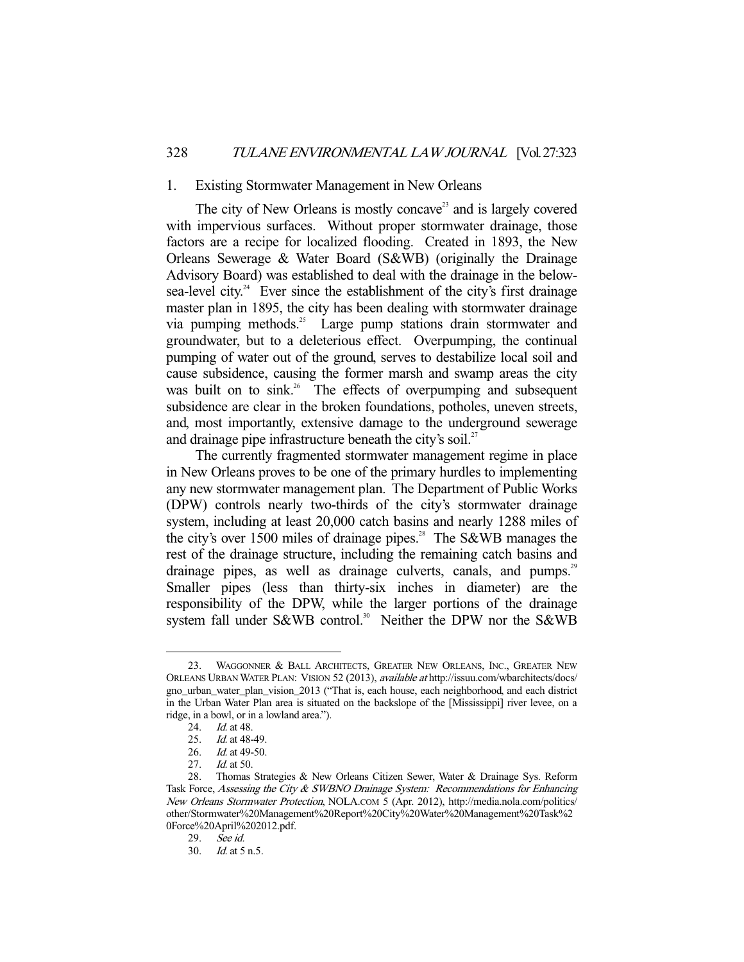#### 1. Existing Stormwater Management in New Orleans

The city of New Orleans is mostly concave<sup>23</sup> and is largely covered with impervious surfaces. Without proper stormwater drainage, those factors are a recipe for localized flooding. Created in 1893, the New Orleans Sewerage & Water Board (S&WB) (originally the Drainage Advisory Board) was established to deal with the drainage in the belowsea-level city.<sup>24</sup> Ever since the establishment of the city's first drainage master plan in 1895, the city has been dealing with stormwater drainage via pumping methods.<sup>25</sup> Large pump stations drain stormwater and groundwater, but to a deleterious effect. Overpumping, the continual pumping of water out of the ground, serves to destabilize local soil and cause subsidence, causing the former marsh and swamp areas the city was built on to sink.<sup>26</sup> The effects of overpumping and subsequent subsidence are clear in the broken foundations, potholes, uneven streets, and, most importantly, extensive damage to the underground sewerage and drainage pipe infrastructure beneath the city's soil.<sup>27</sup>

 The currently fragmented stormwater management regime in place in New Orleans proves to be one of the primary hurdles to implementing any new stormwater management plan. The Department of Public Works (DPW) controls nearly two-thirds of the city's stormwater drainage system, including at least 20,000 catch basins and nearly 1288 miles of the city's over 1500 miles of drainage pipes.<sup>28</sup> The S&WB manages the rest of the drainage structure, including the remaining catch basins and drainage pipes, as well as drainage culverts, canals, and pumps.<sup>29</sup> Smaller pipes (less than thirty-six inches in diameter) are the responsibility of the DPW, while the larger portions of the drainage system fall under S&WB control.<sup>30</sup> Neither the DPW nor the S&WB

 <sup>23.</sup> WAGGONNER & BALL ARCHITECTS, GREATER NEW ORLEANS, INC., GREATER NEW ORLEANS URBAN WATER PLAN: VISION 52 (2013), available at http://issuu.com/wbarchitects/docs/ gno\_urban\_water\_plan\_vision\_2013 ("That is, each house, each neighborhood, and each district in the Urban Water Plan area is situated on the backslope of the [Mississippi] river levee, on a ridge, in a bowl, or in a lowland area.").

<sup>24.</sup> *Id.* at 48.

<sup>25.</sup> *Id.* at 48-49.

<sup>26.</sup> *Id.* at 49-50.<br>27. *Id.* at 50.

*Id.* at 50.

 <sup>28.</sup> Thomas Strategies & New Orleans Citizen Sewer, Water & Drainage Sys. Reform Task Force, Assessing the City & SWBNO Drainage System: Recommendations for Enhancing New Orleans Stormwater Protection, NOLA.COM 5 (Apr. 2012), http://media.nola.com/politics/ other/Stormwater%20Management%20Report%20City%20Water%20Management%20Task%2 0Force%20April%202012.pdf.

 <sup>29.</sup> See id.

 <sup>30.</sup> Id. at 5 n.5.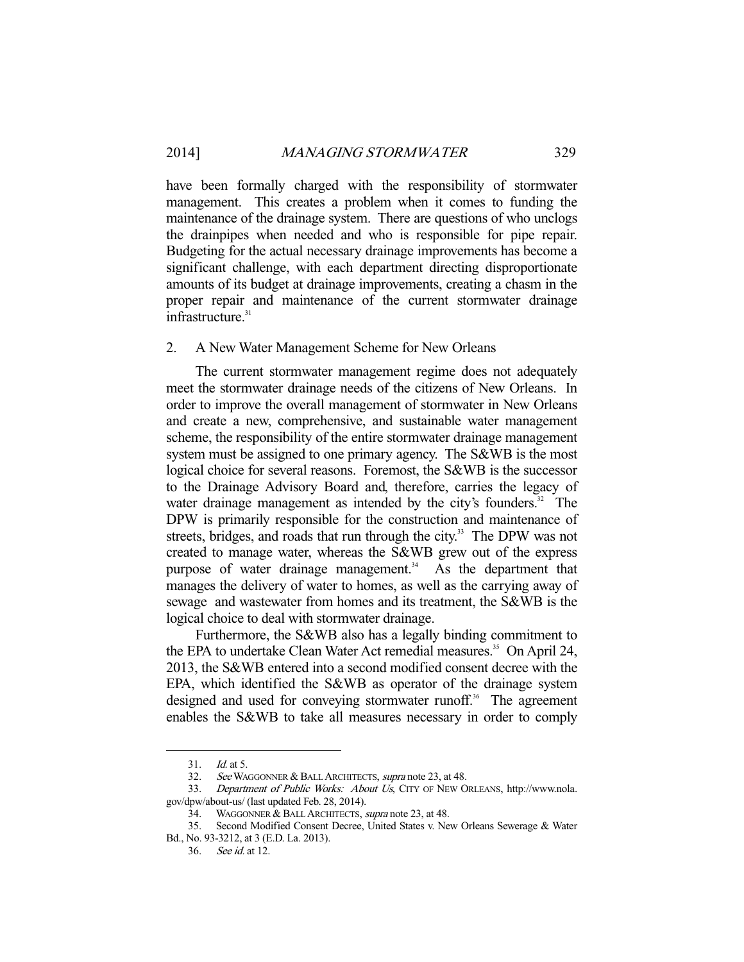have been formally charged with the responsibility of stormwater management. This creates a problem when it comes to funding the maintenance of the drainage system. There are questions of who unclogs the drainpipes when needed and who is responsible for pipe repair. Budgeting for the actual necessary drainage improvements has become a significant challenge, with each department directing disproportionate amounts of its budget at drainage improvements, creating a chasm in the proper repair and maintenance of the current stormwater drainage infrastructure.<sup>31</sup>

## 2. A New Water Management Scheme for New Orleans

 The current stormwater management regime does not adequately meet the stormwater drainage needs of the citizens of New Orleans. In order to improve the overall management of stormwater in New Orleans and create a new, comprehensive, and sustainable water management scheme, the responsibility of the entire stormwater drainage management system must be assigned to one primary agency. The S&WB is the most logical choice for several reasons. Foremost, the S&WB is the successor to the Drainage Advisory Board and, therefore, carries the legacy of water drainage management as intended by the city's founders.<sup>32</sup> The DPW is primarily responsible for the construction and maintenance of streets, bridges, and roads that run through the city.<sup>33</sup> The DPW was not created to manage water, whereas the S&WB grew out of the express purpose of water drainage management.<sup>34</sup> As the department that manages the delivery of water to homes, as well as the carrying away of sewage and wastewater from homes and its treatment, the S&WB is the logical choice to deal with stormwater drainage.

 Furthermore, the S&WB also has a legally binding commitment to the EPA to undertake Clean Water Act remedial measures.<sup>35</sup> On April 24, 2013, the S&WB entered into a second modified consent decree with the EPA, which identified the S&WB as operator of the drainage system designed and used for conveying stormwater runoff.<sup>36</sup> The agreement enables the S&WB to take all measures necessary in order to comply

 <sup>31.</sup> Id. at 5.

<sup>32.</sup> See WAGGONNER & BALL ARCHITECTS, supra note 23, at 48.

 <sup>33.</sup> Department of Public Works: About Us, CITY OF NEW ORLEANS, http://www.nola. gov/dpw/about-us/ (last updated Feb. 28, 2014).

<sup>34.</sup> WAGGONNER & BALL ARCHITECTS, supra note 23, at 48.

 <sup>35.</sup> Second Modified Consent Decree, United States v. New Orleans Sewerage & Water Bd., No. 93-3212, at 3 (E.D. La. 2013).

 <sup>36.</sup> See id. at 12.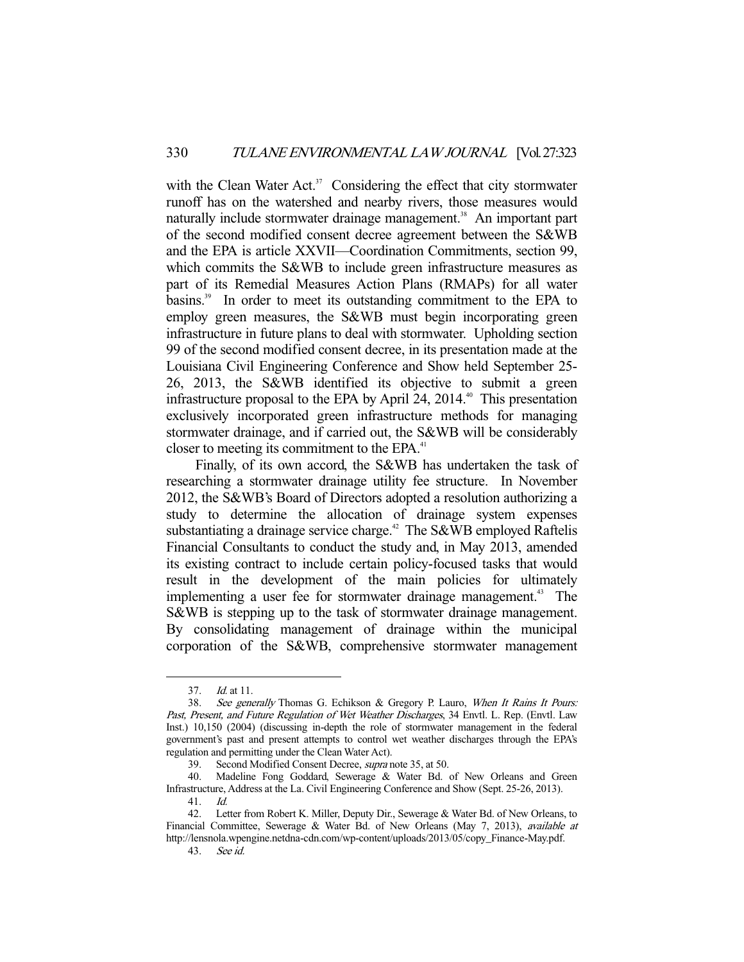with the Clean Water Act.<sup>37</sup> Considering the effect that city stormwater runoff has on the watershed and nearby rivers, those measures would naturally include stormwater drainage management.<sup>38</sup> An important part of the second modified consent decree agreement between the S&WB and the EPA is article XXVII—Coordination Commitments, section 99, which commits the S&WB to include green infrastructure measures as part of its Remedial Measures Action Plans (RMAPs) for all water basins.<sup>39</sup> In order to meet its outstanding commitment to the EPA to employ green measures, the S&WB must begin incorporating green infrastructure in future plans to deal with stormwater. Upholding section 99 of the second modified consent decree, in its presentation made at the Louisiana Civil Engineering Conference and Show held September 25- 26, 2013, the S&WB identified its objective to submit a green infrastructure proposal to the EPA by April 24,  $2014.^{\circ}$  This presentation exclusively incorporated green infrastructure methods for managing stormwater drainage, and if carried out, the S&WB will be considerably closer to meeting its commitment to the EPA.<sup>41</sup>

 Finally, of its own accord, the S&WB has undertaken the task of researching a stormwater drainage utility fee structure. In November 2012, the S&WB's Board of Directors adopted a resolution authorizing a study to determine the allocation of drainage system expenses substantiating a drainage service charge.<sup>42</sup> The S&WB employed Raftelis Financial Consultants to conduct the study and, in May 2013, amended its existing contract to include certain policy-focused tasks that would result in the development of the main policies for ultimately implementing a user fee for stormwater drainage management.<sup>43</sup> The S&WB is stepping up to the task of stormwater drainage management. By consolidating management of drainage within the municipal corporation of the S&WB, comprehensive stormwater management

 <sup>37.</sup> Id. at 11.

<sup>38.</sup> See generally Thomas G. Echikson & Gregory P. Lauro, When It Rains It Pours: Past, Present, and Future Regulation of Wet Weather Discharges, 34 Envtl. L. Rep. (Envtl. Law Inst.) 10,150 (2004) (discussing in-depth the role of stormwater management in the federal government's past and present attempts to control wet weather discharges through the EPA's regulation and permitting under the Clean Water Act).

 <sup>39.</sup> Second Modified Consent Decree, supra note 35, at 50.

 <sup>40.</sup> Madeline Fong Goddard, Sewerage & Water Bd. of New Orleans and Green Infrastructure, Address at the La. Civil Engineering Conference and Show (Sept. 25-26, 2013).

 <sup>41.</sup> Id.

 <sup>42.</sup> Letter from Robert K. Miller, Deputy Dir., Sewerage & Water Bd. of New Orleans, to Financial Committee, Sewerage & Water Bd. of New Orleans (May 7, 2013), *available at* http://lensnola.wpengine.netdna-cdn.com/wp-content/uploads/2013/05/copy\_Finance-May.pdf.

 <sup>43.</sup> See id.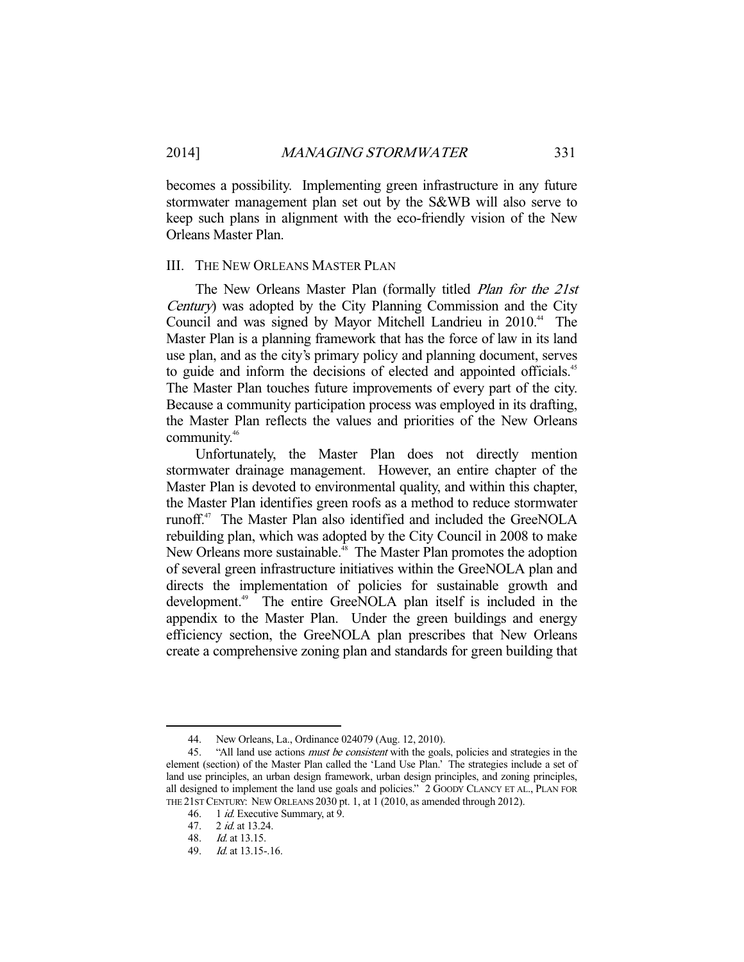becomes a possibility. Implementing green infrastructure in any future stormwater management plan set out by the S&WB will also serve to keep such plans in alignment with the eco-friendly vision of the New Orleans Master Plan.

## III. THE NEW ORLEANS MASTER PLAN

The New Orleans Master Plan (formally titled *Plan for the 21st* Century) was adopted by the City Planning Commission and the City Council and was signed by Mayor Mitchell Landrieu in 2010.<sup>44</sup> The Master Plan is a planning framework that has the force of law in its land use plan, and as the city's primary policy and planning document, serves to guide and inform the decisions of elected and appointed officials.<sup>45</sup> The Master Plan touches future improvements of every part of the city. Because a community participation process was employed in its drafting, the Master Plan reflects the values and priorities of the New Orleans community.46

 Unfortunately, the Master Plan does not directly mention stormwater drainage management. However, an entire chapter of the Master Plan is devoted to environmental quality, and within this chapter, the Master Plan identifies green roofs as a method to reduce stormwater runoff.47 The Master Plan also identified and included the GreeNOLA rebuilding plan, which was adopted by the City Council in 2008 to make New Orleans more sustainable.<sup>48</sup> The Master Plan promotes the adoption of several green infrastructure initiatives within the GreeNOLA plan and directs the implementation of policies for sustainable growth and development.<sup>49</sup> The entire GreeNOLA plan itself is included in the appendix to the Master Plan. Under the green buildings and energy efficiency section, the GreeNOLA plan prescribes that New Orleans create a comprehensive zoning plan and standards for green building that

 <sup>44.</sup> New Orleans, La., Ordinance 024079 (Aug. 12, 2010).

<sup>45. &</sup>quot;All land use actions *must be consistent* with the goals, policies and strategies in the element (section) of the Master Plan called the 'Land Use Plan.' The strategies include a set of land use principles, an urban design framework, urban design principles, and zoning principles, all designed to implement the land use goals and policies." 2 GOODY CLANCY ET AL., PLAN FOR THE 21ST CENTURY: NEW ORLEANS 2030 pt. 1, at 1 (2010, as amended through 2012).

<sup>46. 1</sup> *id.* Executive Summary, at 9.

 <sup>47. 2</sup> id. at 13.24.

 <sup>48.</sup> Id. at 13.15.

 <sup>49.</sup> Id. at 13.15-.16.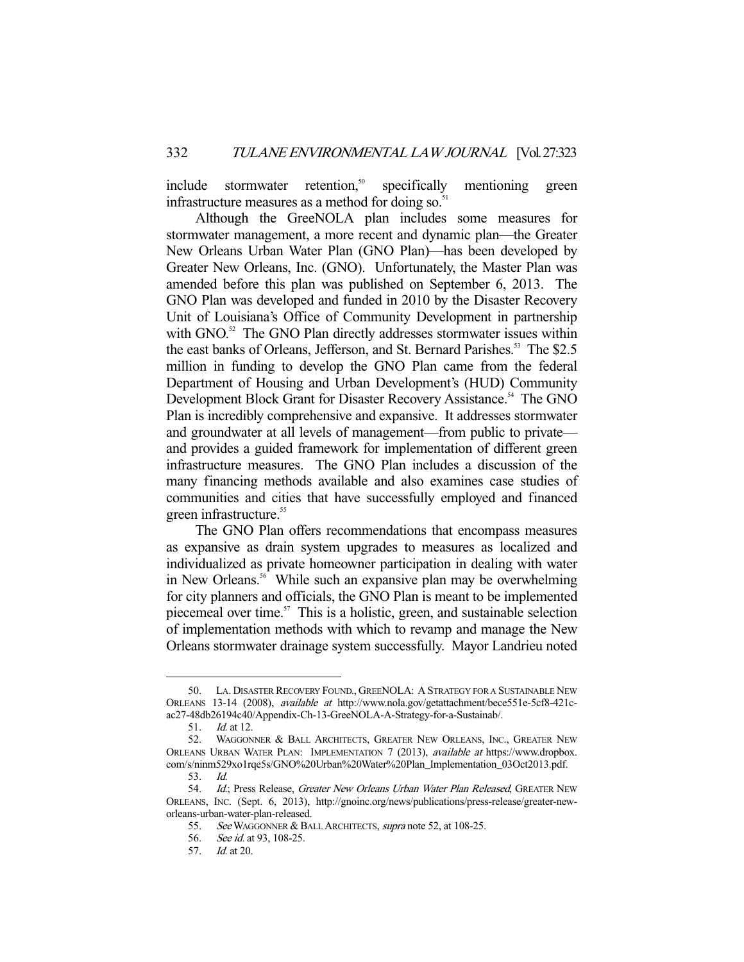include stormwater retention,<sup>50</sup> specifically mentioning green infrastructure measures as a method for doing so.<sup>51</sup>

 Although the GreeNOLA plan includes some measures for stormwater management, a more recent and dynamic plan—the Greater New Orleans Urban Water Plan (GNO Plan)—has been developed by Greater New Orleans, Inc. (GNO). Unfortunately, the Master Plan was amended before this plan was published on September 6, 2013. The GNO Plan was developed and funded in 2010 by the Disaster Recovery Unit of Louisiana's Office of Community Development in partnership with GNO.<sup>52</sup> The GNO Plan directly addresses stormwater issues within the east banks of Orleans, Jefferson, and St. Bernard Parishes.<sup>53</sup> The \$2.5 million in funding to develop the GNO Plan came from the federal Department of Housing and Urban Development's (HUD) Community Development Block Grant for Disaster Recovery Assistance.<sup>54</sup> The GNO Plan is incredibly comprehensive and expansive. It addresses stormwater and groundwater at all levels of management—from public to private and provides a guided framework for implementation of different green infrastructure measures. The GNO Plan includes a discussion of the many financing methods available and also examines case studies of communities and cities that have successfully employed and financed green infrastructure.<sup>55</sup>

 The GNO Plan offers recommendations that encompass measures as expansive as drain system upgrades to measures as localized and individualized as private homeowner participation in dealing with water in New Orleans.<sup>56</sup> While such an expansive plan may be overwhelming for city planners and officials, the GNO Plan is meant to be implemented piecemeal over time. $57$  This is a holistic, green, and sustainable selection of implementation methods with which to revamp and manage the New Orleans stormwater drainage system successfully. Mayor Landrieu noted

 <sup>50.</sup> LA. DISASTER RECOVERY FOUND., GREENOLA: A STRATEGY FOR A SUSTAINABLE NEW ORLEANS 13-14 (2008), available at http://www.nola.gov/getattachment/bece551e-5cf8-421cac27-48db26194c40/Appendix-Ch-13-GreeNOLA-A-Strategy-for-a-Sustainab/.

 <sup>51.</sup> Id. at 12.

<sup>52.</sup> WAGGONNER & BALL ARCHITECTS, GREATER NEW ORLEANS, INC., GREATER NEW ORLEANS URBAN WATER PLAN: IMPLEMENTATION 7 (2013), available at https://www.dropbox. com/s/ninm529xo1rqe5s/GNO%20Urban%20Water%20Plan\_Implementation\_03Oct2013.pdf.

 <sup>53.</sup> Id.

<sup>54.</sup> Id.; Press Release, Greater New Orleans Urban Water Plan Released, GREATER NEW ORLEANS, INC. (Sept. 6, 2013), http://gnoinc.org/news/publications/press-release/greater-neworleans-urban-water-plan-released.

<sup>55.</sup> See WAGGONNER & BALL ARCHITECTS, supra note 52, at 108-25.

<sup>56.</sup> See id. at 93, 108-25.

 <sup>57.</sup> Id. at 20.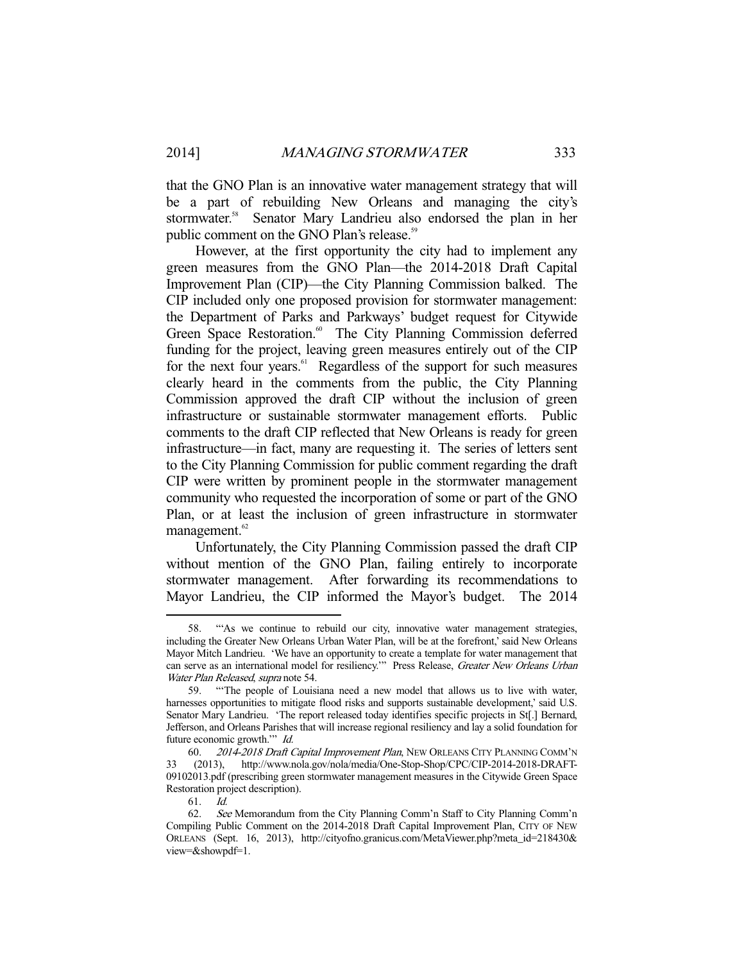that the GNO Plan is an innovative water management strategy that will be a part of rebuilding New Orleans and managing the city's stormwater.<sup>58</sup> Senator Mary Landrieu also endorsed the plan in her public comment on the GNO Plan's release.<sup>59</sup>

 However, at the first opportunity the city had to implement any green measures from the GNO Plan—the 2014-2018 Draft Capital Improvement Plan (CIP)—the City Planning Commission balked. The CIP included only one proposed provision for stormwater management: the Department of Parks and Parkways' budget request for Citywide Green Space Restoration.<sup>60</sup> The City Planning Commission deferred funding for the project, leaving green measures entirely out of the CIP for the next four years.<sup>61</sup> Regardless of the support for such measures clearly heard in the comments from the public, the City Planning Commission approved the draft CIP without the inclusion of green infrastructure or sustainable stormwater management efforts. Public comments to the draft CIP reflected that New Orleans is ready for green infrastructure—in fact, many are requesting it. The series of letters sent to the City Planning Commission for public comment regarding the draft CIP were written by prominent people in the stormwater management community who requested the incorporation of some or part of the GNO Plan, or at least the inclusion of green infrastructure in stormwater management.<sup>62</sup>

 Unfortunately, the City Planning Commission passed the draft CIP without mention of the GNO Plan, failing entirely to incorporate stormwater management. After forwarding its recommendations to Mayor Landrieu, the CIP informed the Mayor's budget. The 2014

 <sup>58. &</sup>quot;'As we continue to rebuild our city, innovative water management strategies, including the Greater New Orleans Urban Water Plan, will be at the forefront,' said New Orleans Mayor Mitch Landrieu. 'We have an opportunity to create a template for water management that can serve as an international model for resiliency."" Press Release, Greater New Orleans Urban Water Plan Released, supra note 54.

 <sup>59. &</sup>quot;'The people of Louisiana need a new model that allows us to live with water, harnesses opportunities to mitigate flood risks and supports sustainable development,' said U.S. Senator Mary Landrieu. 'The report released today identifies specific projects in St[.] Bernard, Jefferson, and Orleans Parishes that will increase regional resiliency and lay a solid foundation for future economic growth."" Id.

 <sup>60.</sup> 2014-2018 Draft Capital Improvement Plan, NEW ORLEANS CITY PLANNING COMM'N 33 (2013), http://www.nola.gov/nola/media/One-Stop-Shop/CPC/CIP-2014-2018-DRAFT-09102013.pdf (prescribing green stormwater management measures in the Citywide Green Space Restoration project description).

 <sup>61.</sup> Id.

<sup>62.</sup> See Memorandum from the City Planning Comm'n Staff to City Planning Comm'n Compiling Public Comment on the 2014-2018 Draft Capital Improvement Plan, CITY OF NEW ORLEANS (Sept. 16, 2013), http://cityofno.granicus.com/MetaViewer.php?meta\_id=218430& view=&showpdf=1.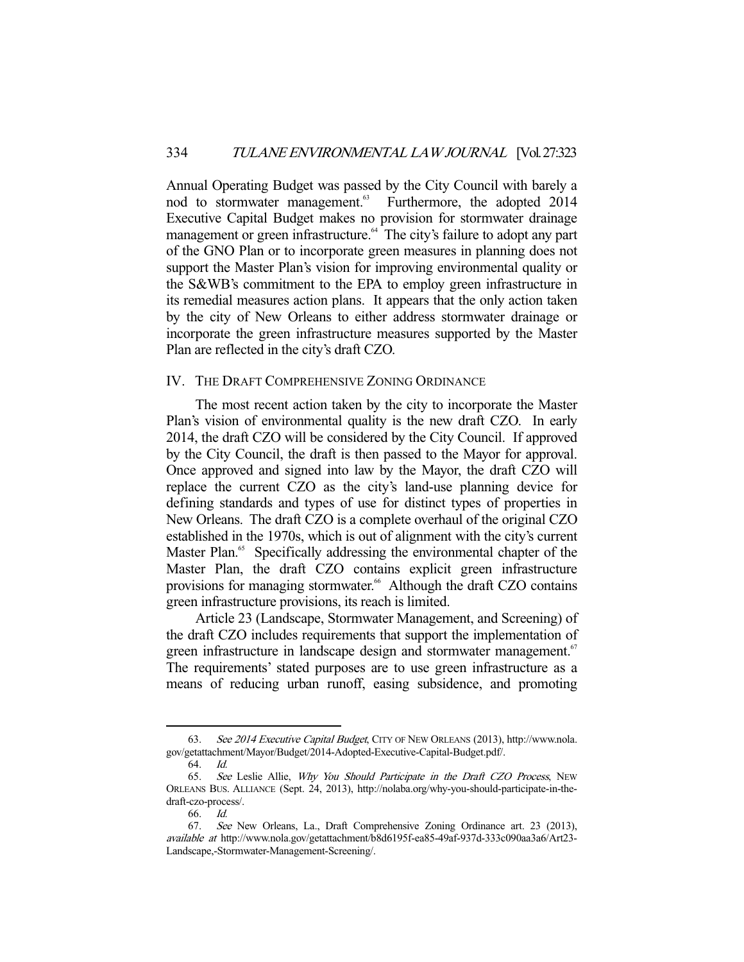Annual Operating Budget was passed by the City Council with barely a nod to stormwater management.<sup>63</sup> Furthermore, the adopted 2014 Executive Capital Budget makes no provision for stormwater drainage management or green infrastructure.<sup>64</sup> The city's failure to adopt any part of the GNO Plan or to incorporate green measures in planning does not support the Master Plan's vision for improving environmental quality or the S&WB's commitment to the EPA to employ green infrastructure in its remedial measures action plans. It appears that the only action taken by the city of New Orleans to either address stormwater drainage or incorporate the green infrastructure measures supported by the Master Plan are reflected in the city's draft CZO.

# IV. THE DRAFT COMPREHENSIVE ZONING ORDINANCE

 The most recent action taken by the city to incorporate the Master Plan's vision of environmental quality is the new draft CZO. In early 2014, the draft CZO will be considered by the City Council. If approved by the City Council, the draft is then passed to the Mayor for approval. Once approved and signed into law by the Mayor, the draft CZO will replace the current CZO as the city's land-use planning device for defining standards and types of use for distinct types of properties in New Orleans. The draft CZO is a complete overhaul of the original CZO established in the 1970s, which is out of alignment with the city's current Master Plan.<sup>65</sup> Specifically addressing the environmental chapter of the Master Plan, the draft CZO contains explicit green infrastructure provisions for managing stormwater.<sup>66</sup> Although the draft CZO contains green infrastructure provisions, its reach is limited.

 Article 23 (Landscape, Stormwater Management, and Screening) of the draft CZO includes requirements that support the implementation of green infrastructure in landscape design and stormwater management.<sup>67</sup> The requirements' stated purposes are to use green infrastructure as a means of reducing urban runoff, easing subsidence, and promoting

<sup>63.</sup> See 2014 Executive Capital Budget, CITY OF NEW ORLEANS (2013), http://www.nola. gov/getattachment/Mayor/Budget/2014-Adopted-Executive-Capital-Budget.pdf/.

 <sup>64.</sup> Id.

 <sup>65.</sup> See Leslie Allie, Why You Should Participate in the Draft CZO Process, NEW ORLEANS BUS. ALLIANCE (Sept. 24, 2013), http://nolaba.org/why-you-should-participate-in-thedraft-czo-process/.

 <sup>66.</sup> Id.

<sup>67.</sup> See New Orleans, La., Draft Comprehensive Zoning Ordinance art. 23 (2013), available at http://www.nola.gov/getattachment/b8d6195f-ea85-49af-937d-333c090aa3a6/Art23- Landscape,-Stormwater-Management-Screening/.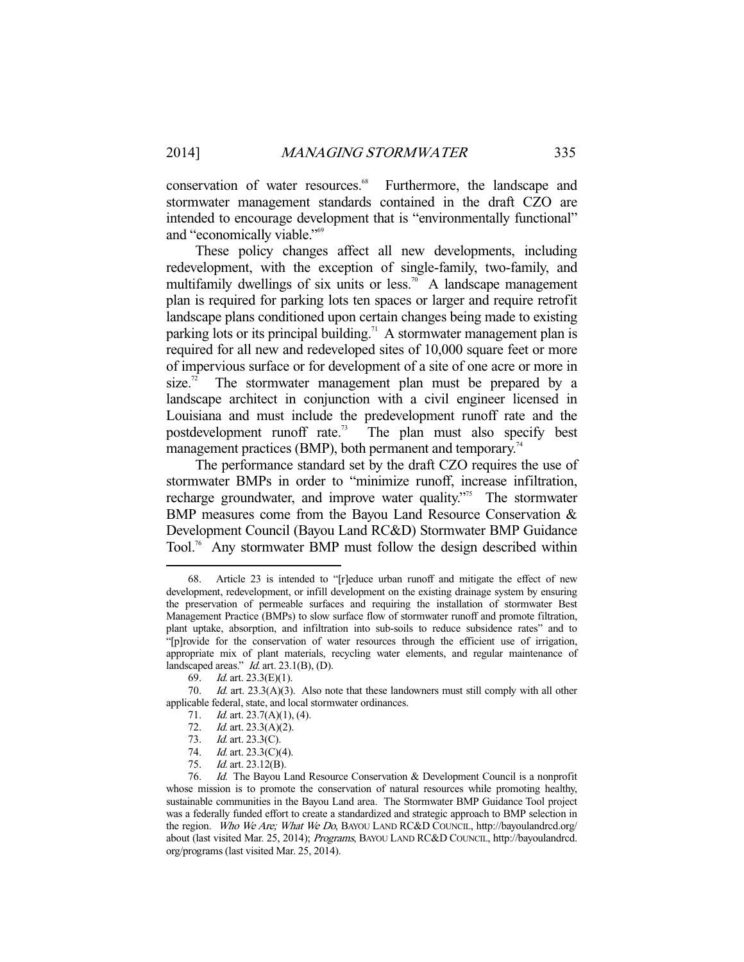conservation of water resources.<sup>68</sup> Furthermore, the landscape and stormwater management standards contained in the draft CZO are intended to encourage development that is "environmentally functional" and "economically viable."69

 These policy changes affect all new developments, including redevelopment, with the exception of single-family, two-family, and multifamily dwellings of six units or less.<sup>70</sup> A landscape management plan is required for parking lots ten spaces or larger and require retrofit landscape plans conditioned upon certain changes being made to existing parking lots or its principal building.<sup>71</sup> A stormwater management plan is required for all new and redeveloped sites of 10,000 square feet or more of impervious surface or for development of a site of one acre or more in size.<sup>72</sup> The stormwater management plan must be prepared by a landscape architect in conjunction with a civil engineer licensed in Louisiana and must include the predevelopment runoff rate and the postdevelopment runoff rate.73 The plan must also specify best management practices (BMP), both permanent and temporary.<sup>74</sup>

 The performance standard set by the draft CZO requires the use of stormwater BMPs in order to "minimize runoff, increase infiltration, recharge groundwater, and improve water quality."<sup>75</sup> The stormwater BMP measures come from the Bayou Land Resource Conservation & Development Council (Bayou Land RC&D) Stormwater BMP Guidance Tool.76 Any stormwater BMP must follow the design described within

 <sup>68.</sup> Article 23 is intended to "[r]educe urban runoff and mitigate the effect of new development, redevelopment, or infill development on the existing drainage system by ensuring the preservation of permeable surfaces and requiring the installation of stormwater Best Management Practice (BMPs) to slow surface flow of stormwater runoff and promote filtration, plant uptake, absorption, and infiltration into sub-soils to reduce subsidence rates" and to "[p]rovide for the conservation of water resources through the efficient use of irrigation, appropriate mix of plant materials, recycling water elements, and regular maintenance of landscaped areas."  $Id$ . art. 23.1(B), (D).

 <sup>69.</sup> Id. art. 23.3(E)(1).

 <sup>70.</sup> Id. art. 23.3(A)(3). Also note that these landowners must still comply with all other applicable federal, state, and local stormwater ordinances.

<sup>71.</sup> *Id.* art. 23.7(A)(1), (4).

<sup>72.</sup> *Id.* art. 23.3(A)(2).

 <sup>73.</sup> Id. art. 23.3(C).

<sup>74.</sup> *Id.* art. 23.3(C)(4).

 <sup>75.</sup> Id. art. 23.12(B).

<sup>76.</sup> Id. The Bayou Land Resource Conservation & Development Council is a nonprofit whose mission is to promote the conservation of natural resources while promoting healthy, sustainable communities in the Bayou Land area. The Stormwater BMP Guidance Tool project was a federally funded effort to create a standardized and strategic approach to BMP selection in the region. Who We Are; What We Do, BAYOU LAND RC&D COUNCIL, http://bayoulandrcd.org/ about (last visited Mar. 25, 2014); Programs, BAYOU LAND RC&D COUNCIL, http://bayoulandrcd. org/programs (last visited Mar. 25, 2014).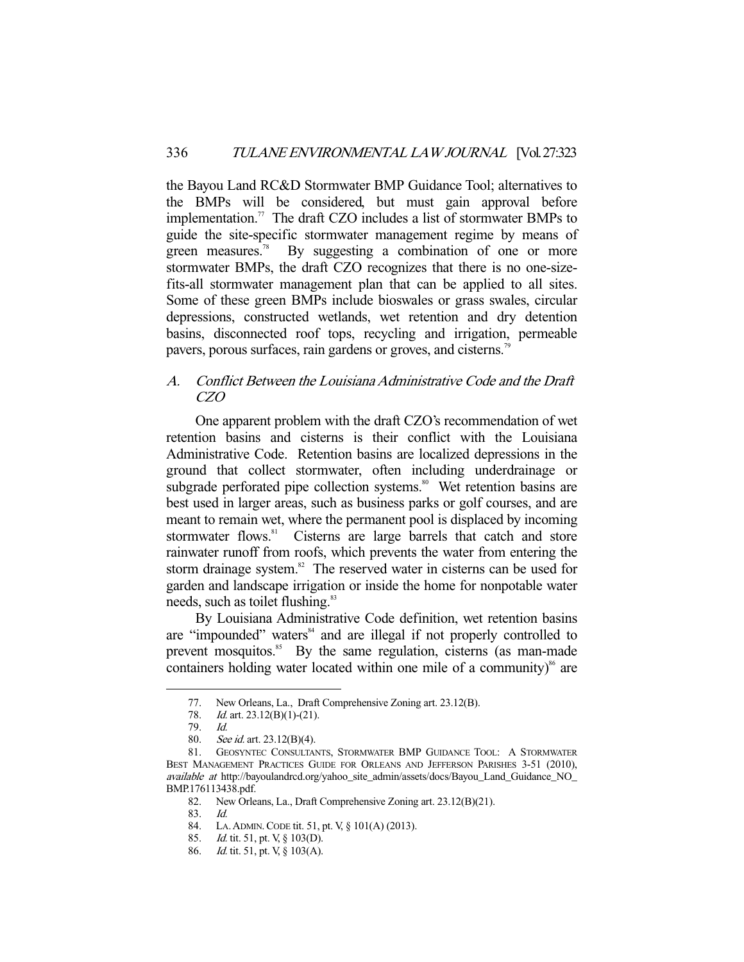the Bayou Land RC&D Stormwater BMP Guidance Tool; alternatives to the BMPs will be considered, but must gain approval before implementation.<sup>77</sup> The draft CZO includes a list of stormwater BMPs to guide the site-specific stormwater management regime by means of green measures.<sup>78</sup> By suggesting a combination of one or more stormwater BMPs, the draft CZO recognizes that there is no one-sizefits-all stormwater management plan that can be applied to all sites. Some of these green BMPs include bioswales or grass swales, circular depressions, constructed wetlands, wet retention and dry detention basins, disconnected roof tops, recycling and irrigation, permeable pavers, porous surfaces, rain gardens or groves, and cisterns.<sup>79</sup>

# A. Conflict Between the Louisiana Administrative Code and the Draft CZO

 One apparent problem with the draft CZO's recommendation of wet retention basins and cisterns is their conflict with the Louisiana Administrative Code. Retention basins are localized depressions in the ground that collect stormwater, often including underdrainage or subgrade perforated pipe collection systems.<sup>80</sup> Wet retention basins are best used in larger areas, such as business parks or golf courses, and are meant to remain wet, where the permanent pool is displaced by incoming stormwater flows.<sup>81</sup> Cisterns are large barrels that catch and store rainwater runoff from roofs, which prevents the water from entering the storm drainage system.<sup>82</sup> The reserved water in cisterns can be used for garden and landscape irrigation or inside the home for nonpotable water needs, such as toilet flushing.<sup>83</sup>

 By Louisiana Administrative Code definition, wet retention basins are "impounded" waters<sup>84</sup> and are illegal if not properly controlled to prevent mosquitos.<sup>85</sup> By the same regulation, cisterns (as man-made containers holding water located within one mile of a community) $\delta$ <sup>6</sup> are

 <sup>77.</sup> New Orleans, La., Draft Comprehensive Zoning art. 23.12(B).

<sup>78.</sup> *Id.* art. 23.12(B)(1)-(21).

 <sup>79.</sup> Id.

<sup>80.</sup> See id. art. 23.12(B)(4).

 <sup>81.</sup> GEOSYNTEC CONSULTANTS, STORMWATER BMP GUIDANCE TOOL: A STORMWATER BEST MANAGEMENT PRACTICES GUIDE FOR ORLEANS AND JEFFERSON PARISHES 3-51 (2010), available at http://bayoulandrcd.org/yahoo\_site\_admin/assets/docs/Bayou\_Land\_Guidance\_NO\_ BMP.176113438.pdf.

 <sup>82.</sup> New Orleans, La., Draft Comprehensive Zoning art. 23.12(B)(21).

 <sup>83.</sup> Id.

 <sup>84.</sup> LA.ADMIN.CODE tit. 51, pt. V, § 101(A) (2013).

 <sup>85.</sup> Id. tit. 51, pt. V, § 103(D).

<sup>86.</sup> *Id.* tit. 51, pt. V, § 103(A).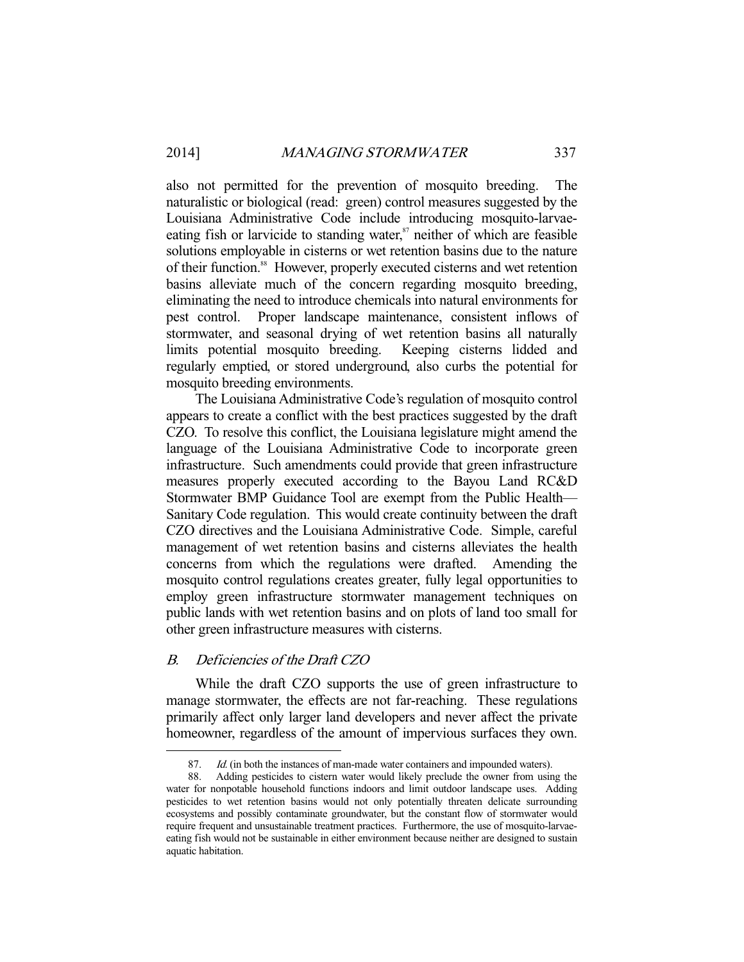also not permitted for the prevention of mosquito breeding. The naturalistic or biological (read: green) control measures suggested by the Louisiana Administrative Code include introducing mosquito-larvaeeating fish or larvicide to standing water, $s^7$  neither of which are feasible solutions employable in cisterns or wet retention basins due to the nature of their function.<sup>88</sup> However, properly executed cisterns and wet retention basins alleviate much of the concern regarding mosquito breeding, eliminating the need to introduce chemicals into natural environments for pest control. Proper landscape maintenance, consistent inflows of stormwater, and seasonal drying of wet retention basins all naturally limits potential mosquito breeding. Keeping cisterns lidded and regularly emptied, or stored underground, also curbs the potential for mosquito breeding environments.

 The Louisiana Administrative Code's regulation of mosquito control appears to create a conflict with the best practices suggested by the draft CZO. To resolve this conflict, the Louisiana legislature might amend the language of the Louisiana Administrative Code to incorporate green infrastructure. Such amendments could provide that green infrastructure measures properly executed according to the Bayou Land RC&D Stormwater BMP Guidance Tool are exempt from the Public Health— Sanitary Code regulation. This would create continuity between the draft CZO directives and the Louisiana Administrative Code. Simple, careful management of wet retention basins and cisterns alleviates the health concerns from which the regulations were drafted. Amending the mosquito control regulations creates greater, fully legal opportunities to employ green infrastructure stormwater management techniques on public lands with wet retention basins and on plots of land too small for other green infrastructure measures with cisterns.

# B. Deficiencies of the Draft CZO

-

 While the draft CZO supports the use of green infrastructure to manage stormwater, the effects are not far-reaching. These regulations primarily affect only larger land developers and never affect the private homeowner, regardless of the amount of impervious surfaces they own.

<sup>87.</sup> *Id.* (in both the instances of man-made water containers and impounded waters).

 <sup>88.</sup> Adding pesticides to cistern water would likely preclude the owner from using the water for nonpotable household functions indoors and limit outdoor landscape uses. Adding pesticides to wet retention basins would not only potentially threaten delicate surrounding ecosystems and possibly contaminate groundwater, but the constant flow of stormwater would require frequent and unsustainable treatment practices. Furthermore, the use of mosquito-larvaeeating fish would not be sustainable in either environment because neither are designed to sustain aquatic habitation.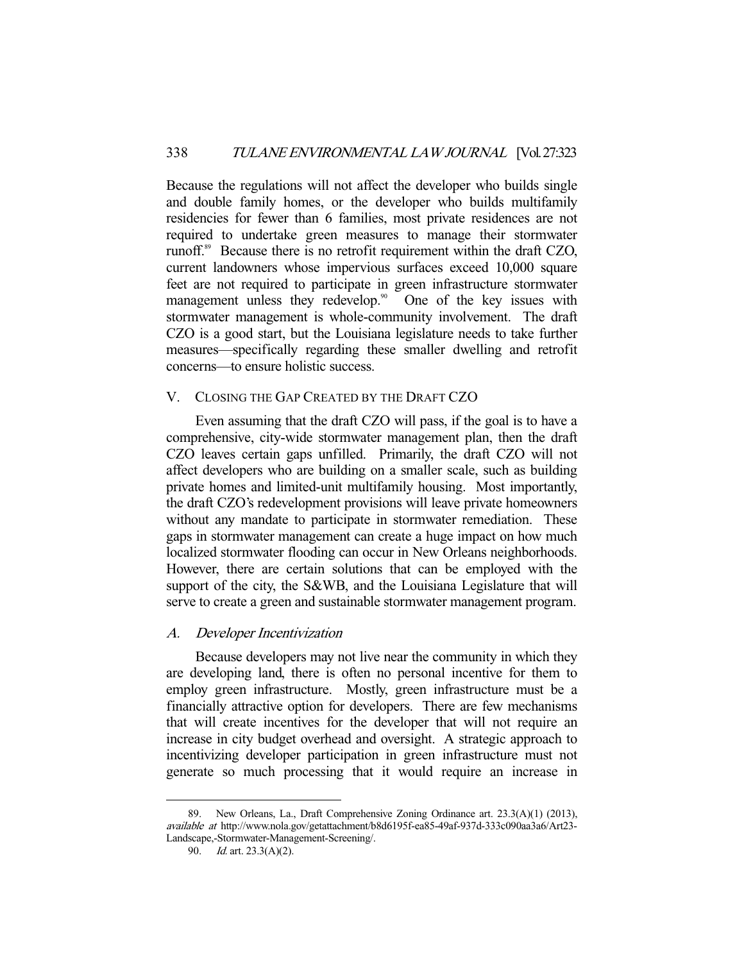Because the regulations will not affect the developer who builds single and double family homes, or the developer who builds multifamily residencies for fewer than 6 families, most private residences are not required to undertake green measures to manage their stormwater runoff.<sup>89</sup> Because there is no retrofit requirement within the draft CZO, current landowners whose impervious surfaces exceed 10,000 square feet are not required to participate in green infrastructure stormwater management unless they redevelop.<sup>90</sup> One of the key issues with stormwater management is whole-community involvement. The draft CZO is a good start, but the Louisiana legislature needs to take further measures—specifically regarding these smaller dwelling and retrofit concerns—to ensure holistic success.

# V. CLOSING THE GAP CREATED BY THE DRAFT CZO

 Even assuming that the draft CZO will pass, if the goal is to have a comprehensive, city-wide stormwater management plan, then the draft CZO leaves certain gaps unfilled. Primarily, the draft CZO will not affect developers who are building on a smaller scale, such as building private homes and limited-unit multifamily housing. Most importantly, the draft CZO's redevelopment provisions will leave private homeowners without any mandate to participate in stormwater remediation. These gaps in stormwater management can create a huge impact on how much localized stormwater flooding can occur in New Orleans neighborhoods. However, there are certain solutions that can be employed with the support of the city, the S&WB, and the Louisiana Legislature that will serve to create a green and sustainable stormwater management program.

## A. Developer Incentivization

 Because developers may not live near the community in which they are developing land, there is often no personal incentive for them to employ green infrastructure. Mostly, green infrastructure must be a financially attractive option for developers. There are few mechanisms that will create incentives for the developer that will not require an increase in city budget overhead and oversight. A strategic approach to incentivizing developer participation in green infrastructure must not generate so much processing that it would require an increase in

 <sup>89.</sup> New Orleans, La., Draft Comprehensive Zoning Ordinance art. 23.3(A)(1) (2013), available at http://www.nola.gov/getattachment/b8d6195f-ea85-49af-937d-333c090aa3a6/Art23- Landscape,-Stormwater-Management-Screening/.

 <sup>90.</sup> Id. art. 23.3(A)(2).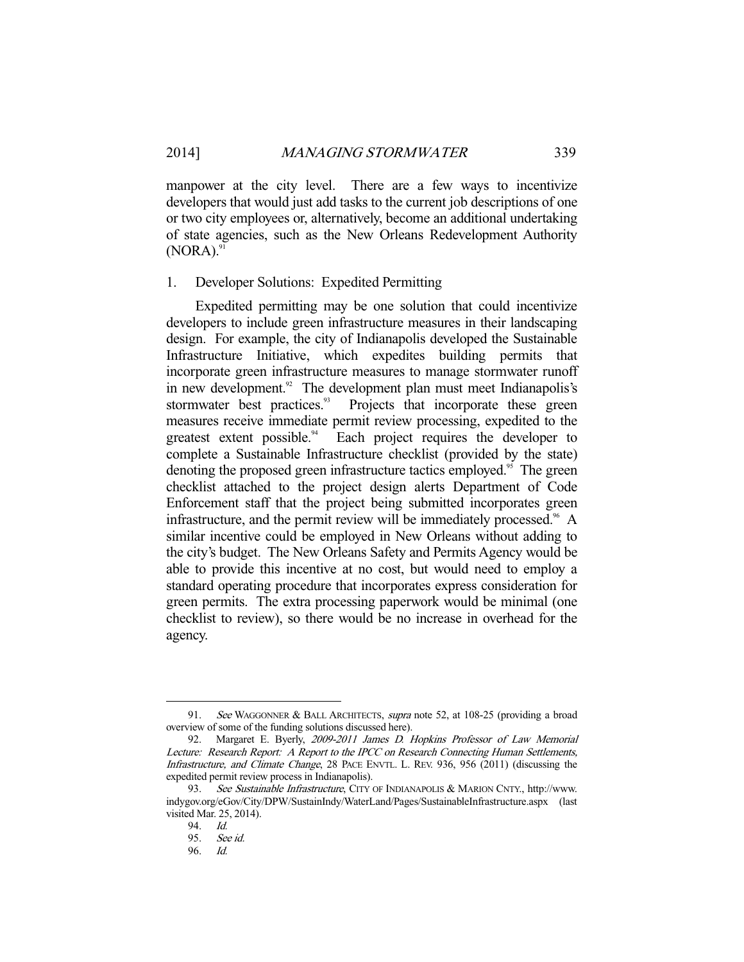manpower at the city level. There are a few ways to incentivize developers that would just add tasks to the current job descriptions of one or two city employees or, alternatively, become an additional undertaking of state agencies, such as the New Orleans Redevelopment Authority  $(NORA).<sup>91</sup>$ 

## 1. Developer Solutions: Expedited Permitting

 Expedited permitting may be one solution that could incentivize developers to include green infrastructure measures in their landscaping design. For example, the city of Indianapolis developed the Sustainable Infrastructure Initiative, which expedites building permits that incorporate green infrastructure measures to manage stormwater runoff in new development.<sup>92</sup> The development plan must meet Indianapolis's stormwater best practices.<sup>93</sup> Projects that incorporate these green Projects that incorporate these green measures receive immediate permit review processing, expedited to the greatest extent possible.<sup>94</sup> Each project requires the developer to complete a Sustainable Infrastructure checklist (provided by the state) denoting the proposed green infrastructure tactics employed.<sup>95</sup> The green checklist attached to the project design alerts Department of Code Enforcement staff that the project being submitted incorporates green infrastructure, and the permit review will be immediately processed. $96$  A similar incentive could be employed in New Orleans without adding to the city's budget. The New Orleans Safety and Permits Agency would be able to provide this incentive at no cost, but would need to employ a standard operating procedure that incorporates express consideration for green permits. The extra processing paperwork would be minimal (one checklist to review), so there would be no increase in overhead for the agency.

<sup>91.</sup> See WAGGONNER & BALL ARCHITECTS, supra note 52, at 108-25 (providing a broad overview of some of the funding solutions discussed here).

 <sup>92.</sup> Margaret E. Byerly, 2009-2011 James D. Hopkins Professor of Law Memorial Lecture: Research Report: A Report to the IPCC on Research Connecting Human Settlements, Infrastructure, and Climate Change, 28 PACE ENVTL. L. REV. 936, 956 (2011) (discussing the expedited permit review process in Indianapolis).

 <sup>93.</sup> See Sustainable Infrastructure, CITY OF INDIANAPOLIS & MARION CNTY., http://www. indygov.org/eGov/City/DPW/SustainIndy/WaterLand/Pages/SustainableInfrastructure.aspx (last visited Mar. 25, 2014).

<sup>94.</sup> Id.<br>95. Se

See id.

 <sup>96.</sup> Id.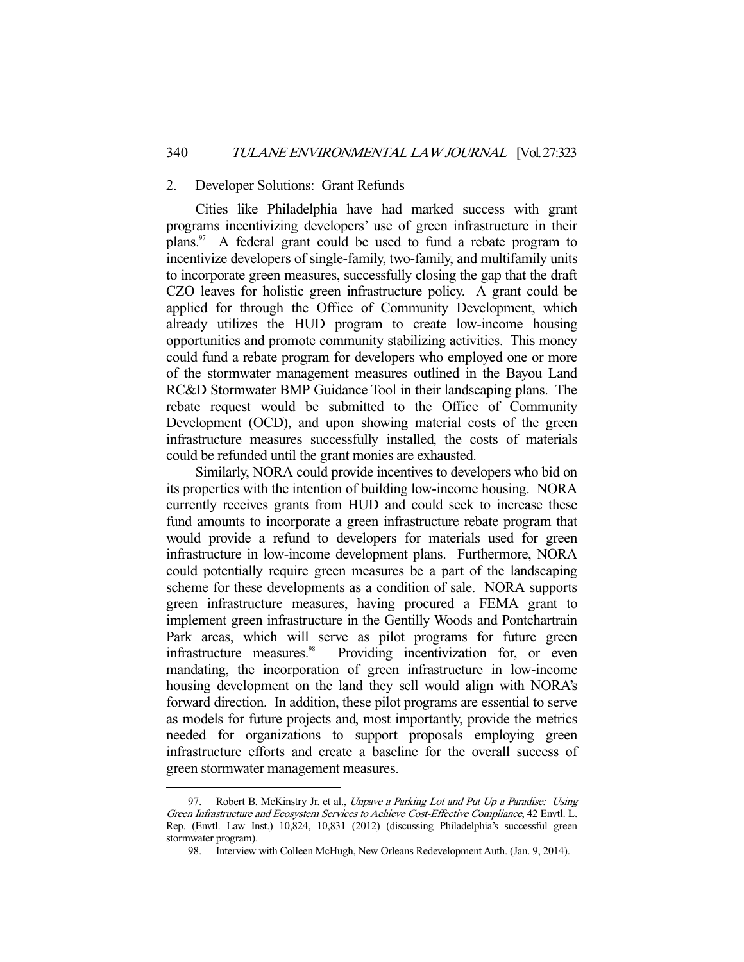### 2. Developer Solutions: Grant Refunds

 Cities like Philadelphia have had marked success with grant programs incentivizing developers' use of green infrastructure in their plans. $97$  A federal grant could be used to fund a rebate program to incentivize developers of single-family, two-family, and multifamily units to incorporate green measures, successfully closing the gap that the draft CZO leaves for holistic green infrastructure policy. A grant could be applied for through the Office of Community Development, which already utilizes the HUD program to create low-income housing opportunities and promote community stabilizing activities. This money could fund a rebate program for developers who employed one or more of the stormwater management measures outlined in the Bayou Land RC&D Stormwater BMP Guidance Tool in their landscaping plans. The rebate request would be submitted to the Office of Community Development (OCD), and upon showing material costs of the green infrastructure measures successfully installed, the costs of materials could be refunded until the grant monies are exhausted.

 Similarly, NORA could provide incentives to developers who bid on its properties with the intention of building low-income housing. NORA currently receives grants from HUD and could seek to increase these fund amounts to incorporate a green infrastructure rebate program that would provide a refund to developers for materials used for green infrastructure in low-income development plans. Furthermore, NORA could potentially require green measures be a part of the landscaping scheme for these developments as a condition of sale. NORA supports green infrastructure measures, having procured a FEMA grant to implement green infrastructure in the Gentilly Woods and Pontchartrain Park areas, which will serve as pilot programs for future green infrastructure measures.<sup>98</sup> Providing incentivization for, or even mandating, the incorporation of green infrastructure in low-income housing development on the land they sell would align with NORA's forward direction. In addition, these pilot programs are essential to serve as models for future projects and, most importantly, provide the metrics needed for organizations to support proposals employing green infrastructure efforts and create a baseline for the overall success of green stormwater management measures.

<sup>97.</sup> Robert B. McKinstry Jr. et al., Unpave a Parking Lot and Put Up a Paradise: Using Green Infrastructure and Ecosystem Services to Achieve Cost-Effective Compliance, 42 Envtl. L. Rep. (Envtl. Law Inst.) 10,824, 10,831 (2012) (discussing Philadelphia's successful green stormwater program).

 <sup>98.</sup> Interview with Colleen McHugh, New Orleans Redevelopment Auth. (Jan. 9, 2014).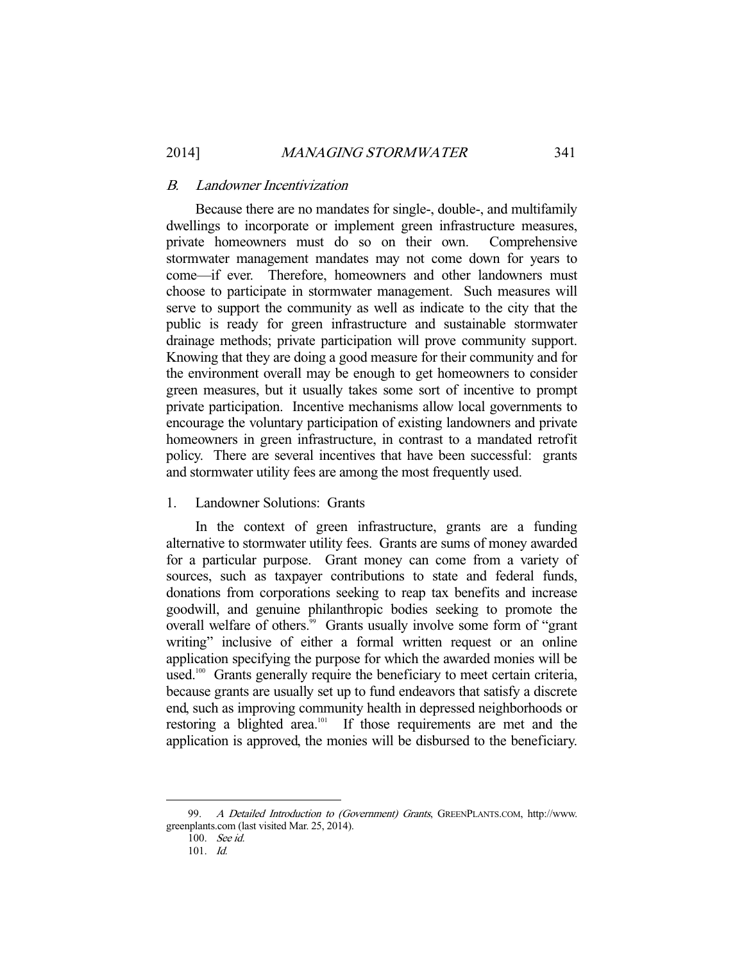## B. Landowner Incentivization

 Because there are no mandates for single-, double-, and multifamily dwellings to incorporate or implement green infrastructure measures, private homeowners must do so on their own. Comprehensive stormwater management mandates may not come down for years to come—if ever. Therefore, homeowners and other landowners must choose to participate in stormwater management. Such measures will serve to support the community as well as indicate to the city that the public is ready for green infrastructure and sustainable stormwater drainage methods; private participation will prove community support. Knowing that they are doing a good measure for their community and for the environment overall may be enough to get homeowners to consider green measures, but it usually takes some sort of incentive to prompt private participation. Incentive mechanisms allow local governments to encourage the voluntary participation of existing landowners and private homeowners in green infrastructure, in contrast to a mandated retrofit policy. There are several incentives that have been successful: grants and stormwater utility fees are among the most frequently used.

# 1. Landowner Solutions: Grants

 In the context of green infrastructure, grants are a funding alternative to stormwater utility fees. Grants are sums of money awarded for a particular purpose. Grant money can come from a variety of sources, such as taxpayer contributions to state and federal funds, donations from corporations seeking to reap tax benefits and increase goodwill, and genuine philanthropic bodies seeking to promote the overall welfare of others.<sup>99</sup> Grants usually involve some form of "grant" writing" inclusive of either a formal written request or an online application specifying the purpose for which the awarded monies will be used.<sup>100</sup> Grants generally require the beneficiary to meet certain criteria, because grants are usually set up to fund endeavors that satisfy a discrete end, such as improving community health in depressed neighborhoods or restoring a blighted area.<sup>101</sup> If those requirements are met and the application is approved, the monies will be disbursed to the beneficiary.

<sup>99.</sup> A Detailed Introduction to (Government) Grants, GREENPLANTS.COM, http://www. greenplants.com (last visited Mar. 25, 2014).

 <sup>100.</sup> See id.

 <sup>101.</sup> Id.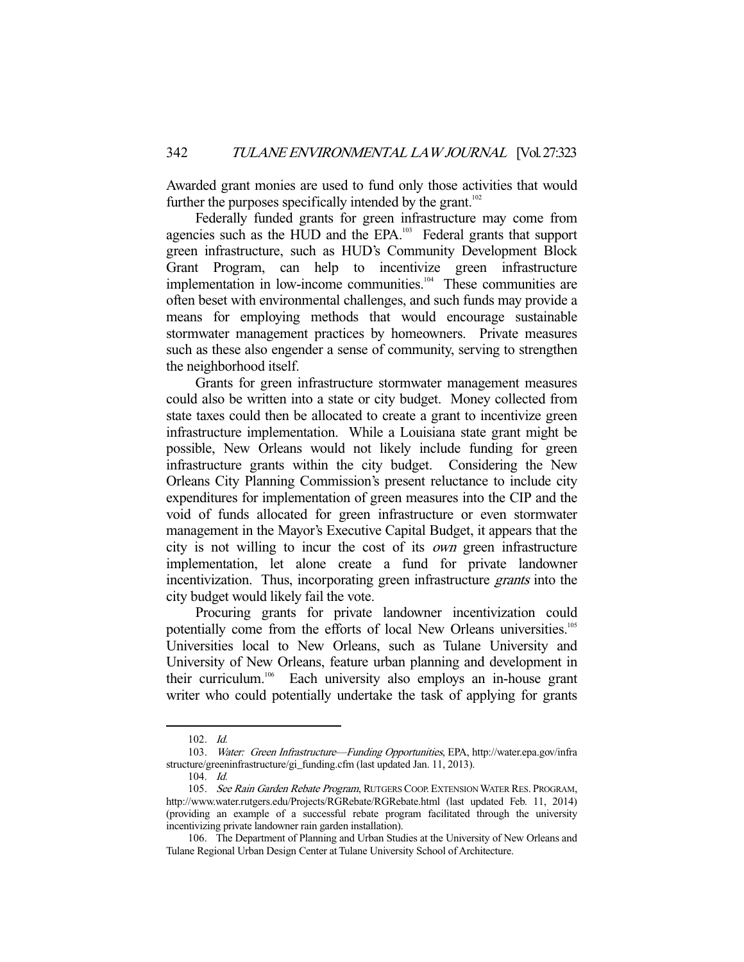Awarded grant monies are used to fund only those activities that would further the purposes specifically intended by the grant.<sup>102</sup>

 Federally funded grants for green infrastructure may come from agencies such as the HUD and the EPA.<sup>103</sup> Federal grants that support green infrastructure, such as HUD's Community Development Block Grant Program, can help to incentivize green infrastructure implementation in low-income communities.<sup>104</sup> These communities are often beset with environmental challenges, and such funds may provide a means for employing methods that would encourage sustainable stormwater management practices by homeowners. Private measures such as these also engender a sense of community, serving to strengthen the neighborhood itself.

 Grants for green infrastructure stormwater management measures could also be written into a state or city budget. Money collected from state taxes could then be allocated to create a grant to incentivize green infrastructure implementation. While a Louisiana state grant might be possible, New Orleans would not likely include funding for green infrastructure grants within the city budget. Considering the New Orleans City Planning Commission's present reluctance to include city expenditures for implementation of green measures into the CIP and the void of funds allocated for green infrastructure or even stormwater management in the Mayor's Executive Capital Budget, it appears that the city is not willing to incur the cost of its own green infrastructure implementation, let alone create a fund for private landowner incentivization. Thus, incorporating green infrastructure *grants* into the city budget would likely fail the vote.

 Procuring grants for private landowner incentivization could potentially come from the efforts of local New Orleans universities.<sup>105</sup> Universities local to New Orleans, such as Tulane University and University of New Orleans, feature urban planning and development in their curriculum.106 Each university also employs an in-house grant writer who could potentially undertake the task of applying for grants

 <sup>102.</sup> Id.

 <sup>103.</sup> Water: Green Infrastructure—Funding Opportunities, EPA, http://water.epa.gov/infra structure/greeninfrastructure/gi\_funding.cfm (last updated Jan. 11, 2013).

 <sup>104.</sup> Id.

<sup>105.</sup> See Rain Garden Rebate Program, RUTGERS COOP. EXTENSION WATER RES. PROGRAM, http://www.water.rutgers.edu/Projects/RGRebate/RGRebate.html (last updated Feb. 11, 2014) (providing an example of a successful rebate program facilitated through the university incentivizing private landowner rain garden installation).

 <sup>106.</sup> The Department of Planning and Urban Studies at the University of New Orleans and Tulane Regional Urban Design Center at Tulane University School of Architecture.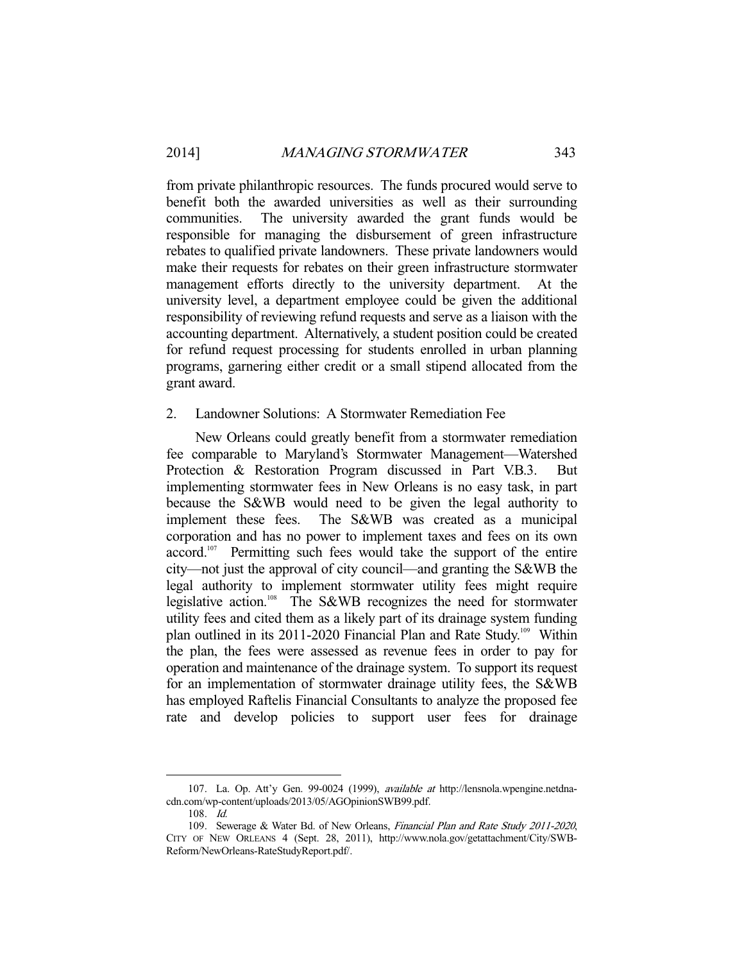from private philanthropic resources. The funds procured would serve to benefit both the awarded universities as well as their surrounding communities. The university awarded the grant funds would be responsible for managing the disbursement of green infrastructure rebates to qualified private landowners. These private landowners would make their requests for rebates on their green infrastructure stormwater management efforts directly to the university department. At the university level, a department employee could be given the additional responsibility of reviewing refund requests and serve as a liaison with the accounting department. Alternatively, a student position could be created for refund request processing for students enrolled in urban planning programs, garnering either credit or a small stipend allocated from the grant award.

## 2. Landowner Solutions: A Stormwater Remediation Fee

 New Orleans could greatly benefit from a stormwater remediation fee comparable to Maryland's Stormwater Management—Watershed Protection & Restoration Program discussed in Part V.B.3. But implementing stormwater fees in New Orleans is no easy task, in part because the S&WB would need to be given the legal authority to implement these fees. The S&WB was created as a municipal corporation and has no power to implement taxes and fees on its own accord.<sup>107</sup> Permitting such fees would take the support of the entire city—not just the approval of city council—and granting the S&WB the legal authority to implement stormwater utility fees might require legislative action.108 The S&WB recognizes the need for stormwater utility fees and cited them as a likely part of its drainage system funding plan outlined in its 2011-2020 Financial Plan and Rate Study.<sup>109</sup> Within the plan, the fees were assessed as revenue fees in order to pay for operation and maintenance of the drainage system. To support its request for an implementation of stormwater drainage utility fees, the S&WB has employed Raftelis Financial Consultants to analyze the proposed fee rate and develop policies to support user fees for drainage

 <sup>107.</sup> La. Op. Att'y Gen. 99-0024 (1999), available at http://lensnola.wpengine.netdnacdn.com/wp-content/uploads/2013/05/AGOpinionSWB99.pdf.

 <sup>108.</sup> Id.

 <sup>109.</sup> Sewerage & Water Bd. of New Orleans, Financial Plan and Rate Study 2011-2020, CITY OF NEW ORLEANS 4 (Sept. 28, 2011), http://www.nola.gov/getattachment/City/SWB-Reform/NewOrleans-RateStudyReport.pdf/.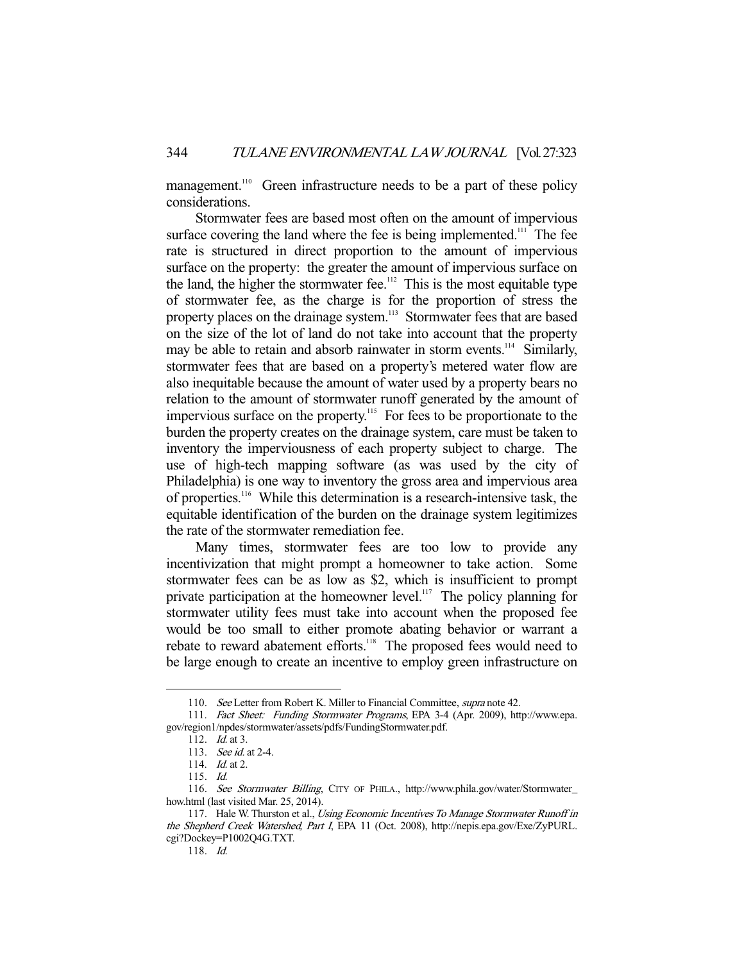management.<sup>110</sup> Green infrastructure needs to be a part of these policy considerations.

 Stormwater fees are based most often on the amount of impervious surface covering the land where the fee is being implemented.<sup>111</sup> The fee rate is structured in direct proportion to the amount of impervious surface on the property: the greater the amount of impervious surface on the land, the higher the stormwater fee.<sup>112</sup> This is the most equitable type of stormwater fee, as the charge is for the proportion of stress the property places on the drainage system.<sup>113</sup> Stormwater fees that are based on the size of the lot of land do not take into account that the property may be able to retain and absorb rainwater in storm events.<sup>114</sup> Similarly, stormwater fees that are based on a property's metered water flow are also inequitable because the amount of water used by a property bears no relation to the amount of stormwater runoff generated by the amount of impervious surface on the property.115 For fees to be proportionate to the burden the property creates on the drainage system, care must be taken to inventory the imperviousness of each property subject to charge. The use of high-tech mapping software (as was used by the city of Philadelphia) is one way to inventory the gross area and impervious area of properties.116 While this determination is a research-intensive task, the equitable identification of the burden on the drainage system legitimizes the rate of the stormwater remediation fee.

 Many times, stormwater fees are too low to provide any incentivization that might prompt a homeowner to take action. Some stormwater fees can be as low as \$2, which is insufficient to prompt private participation at the homeowner level.<sup>117</sup> The policy planning for stormwater utility fees must take into account when the proposed fee would be too small to either promote abating behavior or warrant a rebate to reward abatement efforts.<sup>118</sup> The proposed fees would need to be large enough to create an incentive to employ green infrastructure on

<sup>110.</sup> See Letter from Robert K. Miller to Financial Committee, *supra* note 42.

 <sup>111.</sup> Fact Sheet: Funding Stormwater Programs, EPA 3-4 (Apr. 2009), http://www.epa. gov/region1/npdes/stormwater/assets/pdfs/FundingStormwater.pdf.

<sup>112.</sup> *Id.* at 3.

 <sup>113.</sup> See id. at 2-4.

 <sup>114.</sup> Id. at 2.

 <sup>115.</sup> Id.

 <sup>116.</sup> See Stormwater Billing, CITY OF PHILA., http://www.phila.gov/water/Stormwater\_ how.html (last visited Mar. 25, 2014).

<sup>117.</sup> Hale W. Thurston et al., Using Economic Incentives To Manage Stormwater Runoff in the Shepherd Creek Watershed, Part I, EPA 11 (Oct. 2008), http://nepis.epa.gov/Exe/ZyPURL. cgi?Dockey=P1002Q4G.TXT.

 <sup>118.</sup> Id.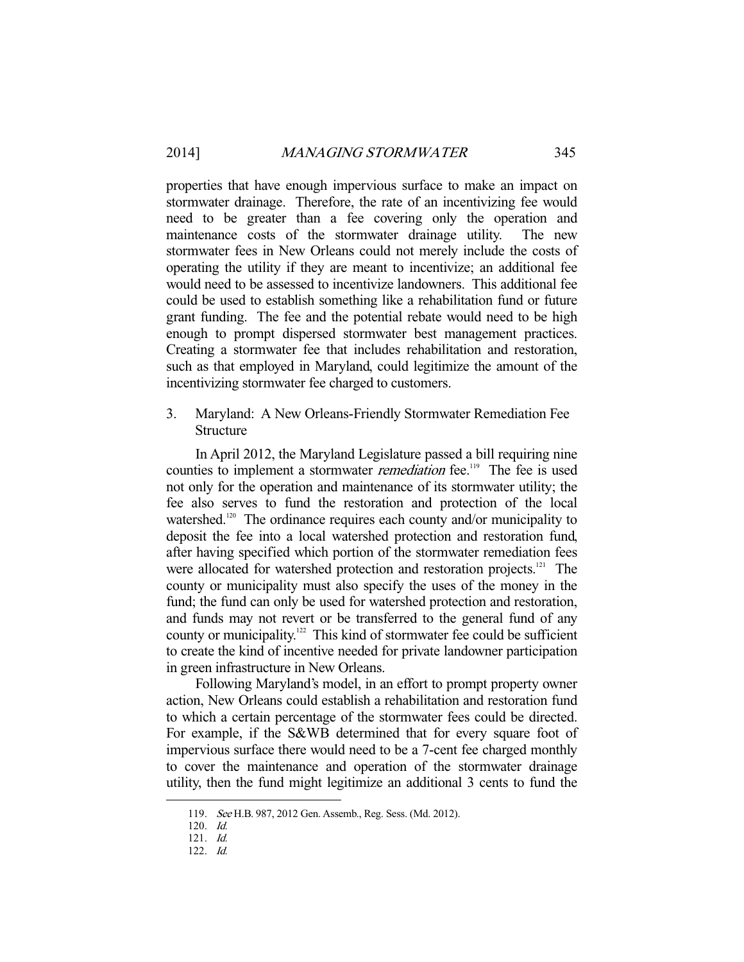properties that have enough impervious surface to make an impact on stormwater drainage. Therefore, the rate of an incentivizing fee would need to be greater than a fee covering only the operation and maintenance costs of the stormwater drainage utility. The new stormwater fees in New Orleans could not merely include the costs of operating the utility if they are meant to incentivize; an additional fee would need to be assessed to incentivize landowners. This additional fee could be used to establish something like a rehabilitation fund or future grant funding. The fee and the potential rebate would need to be high enough to prompt dispersed stormwater best management practices. Creating a stormwater fee that includes rehabilitation and restoration, such as that employed in Maryland, could legitimize the amount of the incentivizing stormwater fee charged to customers.

3. Maryland: A New Orleans-Friendly Stormwater Remediation Fee Structure

 In April 2012, the Maryland Legislature passed a bill requiring nine counties to implement a stormwater *remediation* fee.<sup>119</sup> The fee is used not only for the operation and maintenance of its stormwater utility; the fee also serves to fund the restoration and protection of the local watershed.<sup>120</sup> The ordinance requires each county and/or municipality to deposit the fee into a local watershed protection and restoration fund, after having specified which portion of the stormwater remediation fees were allocated for watershed protection and restoration projects.<sup>121</sup> The county or municipality must also specify the uses of the money in the fund; the fund can only be used for watershed protection and restoration, and funds may not revert or be transferred to the general fund of any county or municipality.<sup>122</sup> This kind of stormwater fee could be sufficient to create the kind of incentive needed for private landowner participation in green infrastructure in New Orleans.

 Following Maryland's model, in an effort to prompt property owner action, New Orleans could establish a rehabilitation and restoration fund to which a certain percentage of the stormwater fees could be directed. For example, if the S&WB determined that for every square foot of impervious surface there would need to be a 7-cent fee charged monthly to cover the maintenance and operation of the stormwater drainage utility, then the fund might legitimize an additional 3 cents to fund the

 <sup>119.</sup> See H.B. 987, 2012 Gen. Assemb., Reg. Sess. (Md. 2012).

 <sup>120.</sup> Id. 121. Id.

 <sup>122.</sup> Id.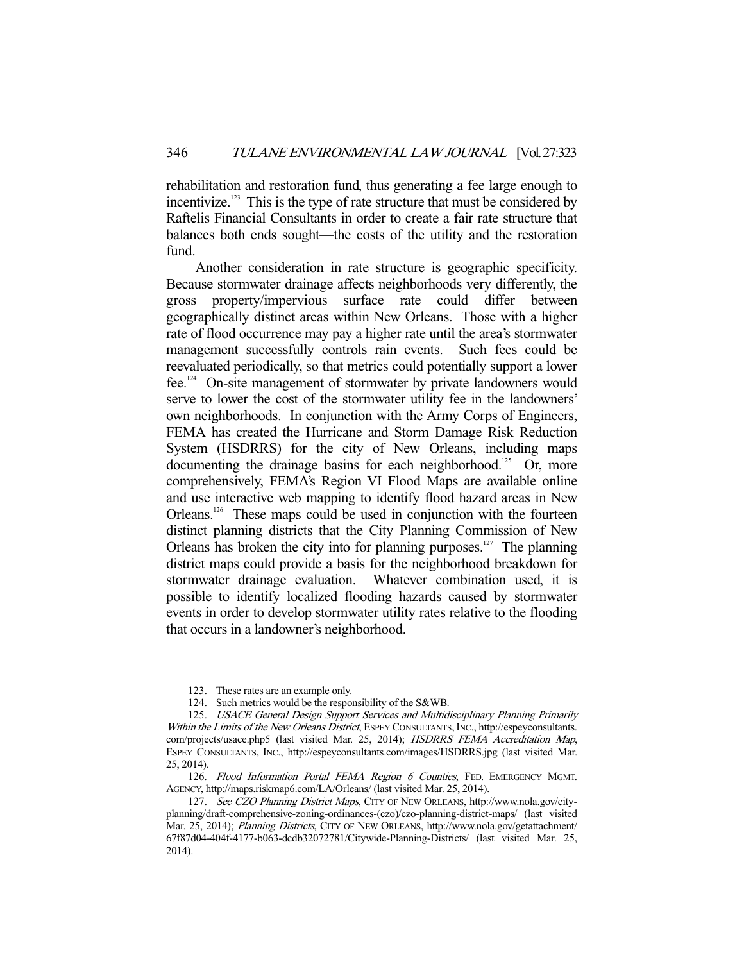rehabilitation and restoration fund, thus generating a fee large enough to incentivize.<sup>123</sup> This is the type of rate structure that must be considered by Raftelis Financial Consultants in order to create a fair rate structure that balances both ends sought—the costs of the utility and the restoration fund.

 Another consideration in rate structure is geographic specificity. Because stormwater drainage affects neighborhoods very differently, the gross property/impervious surface rate could differ between geographically distinct areas within New Orleans. Those with a higher rate of flood occurrence may pay a higher rate until the area's stormwater management successfully controls rain events. Such fees could be reevaluated periodically, so that metrics could potentially support a lower fee.124 On-site management of stormwater by private landowners would serve to lower the cost of the stormwater utility fee in the landowners' own neighborhoods. In conjunction with the Army Corps of Engineers, FEMA has created the Hurricane and Storm Damage Risk Reduction System (HSDRRS) for the city of New Orleans, including maps documenting the drainage basins for each neighborhood.<sup>125</sup> Or, more comprehensively, FEMA's Region VI Flood Maps are available online and use interactive web mapping to identify flood hazard areas in New Orleans.<sup>126</sup> These maps could be used in conjunction with the fourteen distinct planning districts that the City Planning Commission of New Orleans has broken the city into for planning purposes.<sup>127</sup> The planning district maps could provide a basis for the neighborhood breakdown for stormwater drainage evaluation. Whatever combination used, it is possible to identify localized flooding hazards caused by stormwater events in order to develop stormwater utility rates relative to the flooding that occurs in a landowner's neighborhood.

 <sup>123.</sup> These rates are an example only.

 <sup>124.</sup> Such metrics would be the responsibility of the S&WB.

 <sup>125.</sup> USACE General Design Support Services and Multidisciplinary Planning Primarily Within the Limits of the New Orleans District, ESPEY CONSULTANTS, INC., http://espeyconsultants. com/projects/usace.php5 (last visited Mar. 25, 2014); HSDRRS FEMA Accreditation Map, ESPEY CONSULTANTS, INC., http://espeyconsultants.com/images/HSDRRS.jpg (last visited Mar. 25, 2014).

<sup>126.</sup> Flood Information Portal FEMA Region 6 Counties, FED. EMERGENCY MGMT. AGENCY, http://maps.riskmap6.com/LA/Orleans/ (last visited Mar. 25, 2014).

 <sup>127.</sup> See CZO Planning District Maps, CITY OF NEW ORLEANS, http://www.nola.gov/cityplanning/draft-comprehensive-zoning-ordinances-(czo)/czo-planning-district-maps/ (last visited Mar. 25, 2014); *Planning Districts*, CITY OF NEW ORLEANS, http://www.nola.gov/getattachment/ 67f87d04-404f-4177-b063-dcdb32072781/Citywide-Planning-Districts/ (last visited Mar. 25, 2014).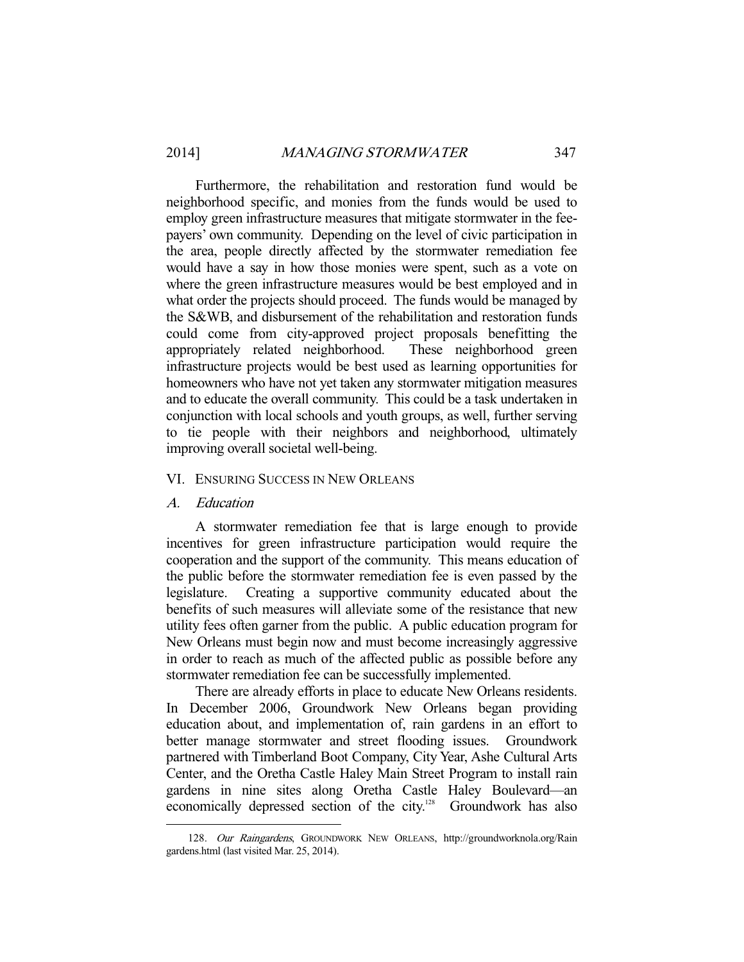Furthermore, the rehabilitation and restoration fund would be neighborhood specific, and monies from the funds would be used to employ green infrastructure measures that mitigate stormwater in the feepayers' own community. Depending on the level of civic participation in the area, people directly affected by the stormwater remediation fee would have a say in how those monies were spent, such as a vote on where the green infrastructure measures would be best employed and in what order the projects should proceed. The funds would be managed by the S&WB, and disbursement of the rehabilitation and restoration funds could come from city-approved project proposals benefitting the appropriately related neighborhood. These neighborhood green infrastructure projects would be best used as learning opportunities for homeowners who have not yet taken any stormwater mitigation measures and to educate the overall community. This could be a task undertaken in conjunction with local schools and youth groups, as well, further serving to tie people with their neighbors and neighborhood, ultimately improving overall societal well-being.

## VI. ENSURING SUCCESS IN NEW ORLEANS

#### A. Education

-

 A stormwater remediation fee that is large enough to provide incentives for green infrastructure participation would require the cooperation and the support of the community. This means education of the public before the stormwater remediation fee is even passed by the legislature. Creating a supportive community educated about the benefits of such measures will alleviate some of the resistance that new utility fees often garner from the public. A public education program for New Orleans must begin now and must become increasingly aggressive in order to reach as much of the affected public as possible before any stormwater remediation fee can be successfully implemented.

 There are already efforts in place to educate New Orleans residents. In December 2006, Groundwork New Orleans began providing education about, and implementation of, rain gardens in an effort to better manage stormwater and street flooding issues. Groundwork partnered with Timberland Boot Company, City Year, Ashe Cultural Arts Center, and the Oretha Castle Haley Main Street Program to install rain gardens in nine sites along Oretha Castle Haley Boulevard—an economically depressed section of the city.<sup>128</sup> Groundwork has also

<sup>128.</sup> Our Raingardens, GROUNDWORK NEW ORLEANS, http://groundworknola.org/Rain gardens.html (last visited Mar. 25, 2014).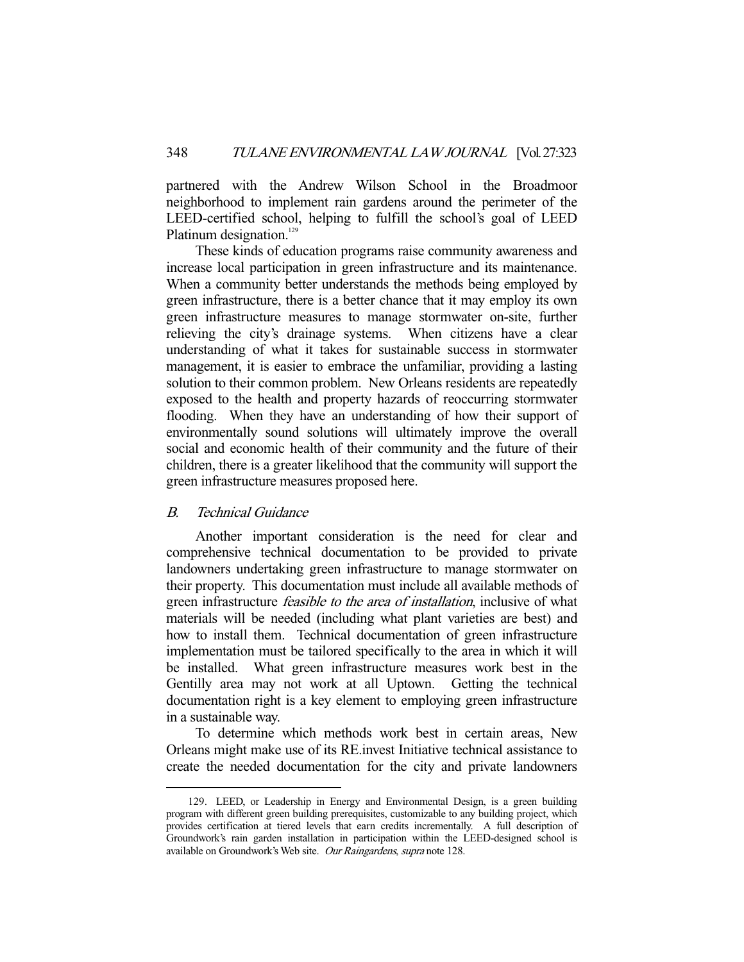partnered with the Andrew Wilson School in the Broadmoor neighborhood to implement rain gardens around the perimeter of the LEED-certified school, helping to fulfill the school's goal of LEED Platinum designation.<sup>129</sup>

 These kinds of education programs raise community awareness and increase local participation in green infrastructure and its maintenance. When a community better understands the methods being employed by green infrastructure, there is a better chance that it may employ its own green infrastructure measures to manage stormwater on-site, further relieving the city's drainage systems. When citizens have a clear understanding of what it takes for sustainable success in stormwater management, it is easier to embrace the unfamiliar, providing a lasting solution to their common problem. New Orleans residents are repeatedly exposed to the health and property hazards of reoccurring stormwater flooding. When they have an understanding of how their support of environmentally sound solutions will ultimately improve the overall social and economic health of their community and the future of their children, there is a greater likelihood that the community will support the green infrastructure measures proposed here.

# B. Technical Guidance

-

 Another important consideration is the need for clear and comprehensive technical documentation to be provided to private landowners undertaking green infrastructure to manage stormwater on their property. This documentation must include all available methods of green infrastructure feasible to the area of installation, inclusive of what materials will be needed (including what plant varieties are best) and how to install them. Technical documentation of green infrastructure implementation must be tailored specifically to the area in which it will be installed. What green infrastructure measures work best in the Gentilly area may not work at all Uptown. Getting the technical documentation right is a key element to employing green infrastructure in a sustainable way.

 To determine which methods work best in certain areas, New Orleans might make use of its RE.invest Initiative technical assistance to create the needed documentation for the city and private landowners

 <sup>129.</sup> LEED, or Leadership in Energy and Environmental Design, is a green building program with different green building prerequisites, customizable to any building project, which provides certification at tiered levels that earn credits incrementally. A full description of Groundwork's rain garden installation in participation within the LEED-designed school is available on Groundwork's Web site. Our Raingardens, supra note 128.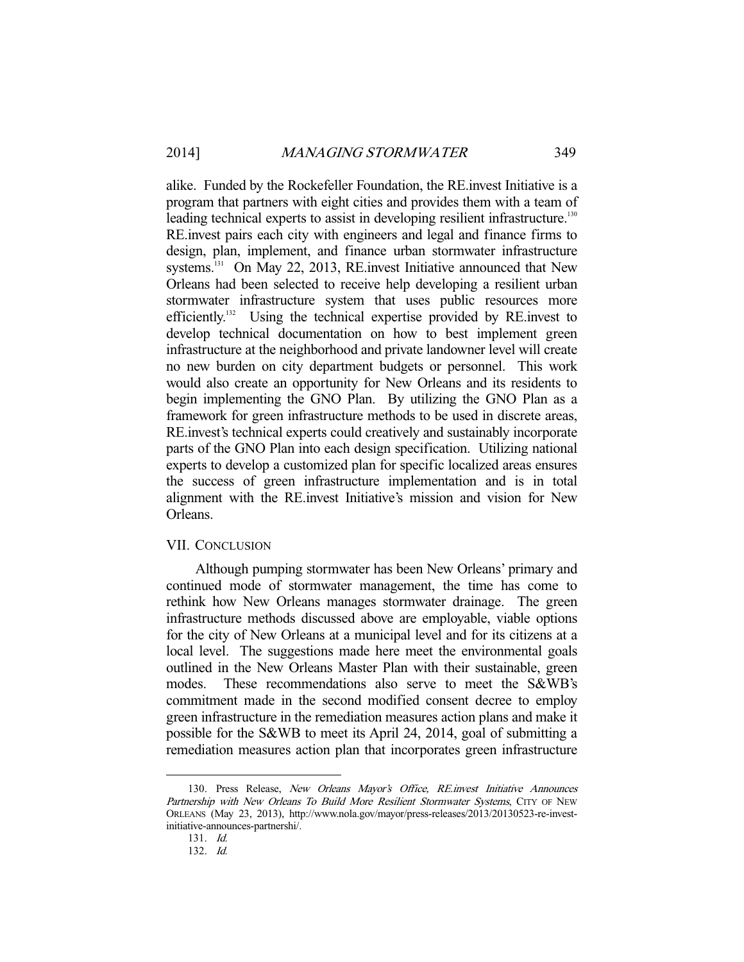alike. Funded by the Rockefeller Foundation, the RE.invest Initiative is a program that partners with eight cities and provides them with a team of leading technical experts to assist in developing resilient infrastructure.<sup>130</sup> RE.invest pairs each city with engineers and legal and finance firms to design, plan, implement, and finance urban stormwater infrastructure systems.<sup>131</sup> On May 22, 2013, RE.invest Initiative announced that New Orleans had been selected to receive help developing a resilient urban stormwater infrastructure system that uses public resources more efficiently.<sup>132</sup> Using the technical expertise provided by RE.invest to develop technical documentation on how to best implement green infrastructure at the neighborhood and private landowner level will create no new burden on city department budgets or personnel. This work would also create an opportunity for New Orleans and its residents to begin implementing the GNO Plan. By utilizing the GNO Plan as a framework for green infrastructure methods to be used in discrete areas, RE.invest's technical experts could creatively and sustainably incorporate parts of the GNO Plan into each design specification. Utilizing national experts to develop a customized plan for specific localized areas ensures the success of green infrastructure implementation and is in total alignment with the RE.invest Initiative's mission and vision for New Orleans.

## VII. CONCLUSION

 Although pumping stormwater has been New Orleans' primary and continued mode of stormwater management, the time has come to rethink how New Orleans manages stormwater drainage. The green infrastructure methods discussed above are employable, viable options for the city of New Orleans at a municipal level and for its citizens at a local level. The suggestions made here meet the environmental goals outlined in the New Orleans Master Plan with their sustainable, green modes. These recommendations also serve to meet the S&WB's commitment made in the second modified consent decree to employ green infrastructure in the remediation measures action plans and make it possible for the S&WB to meet its April 24, 2014, goal of submitting a remediation measures action plan that incorporates green infrastructure

<sup>130.</sup> Press Release, New Orleans Mayor's Office, RE.invest Initiative Announces Partnership with New Orleans To Build More Resilient Stormwater Systems, CITY OF NEW ORLEANS (May 23, 2013), http://www.nola.gov/mayor/press-releases/2013/20130523-re-investinitiative-announces-partnershi/.

 <sup>131.</sup> Id.

 <sup>132.</sup> Id.